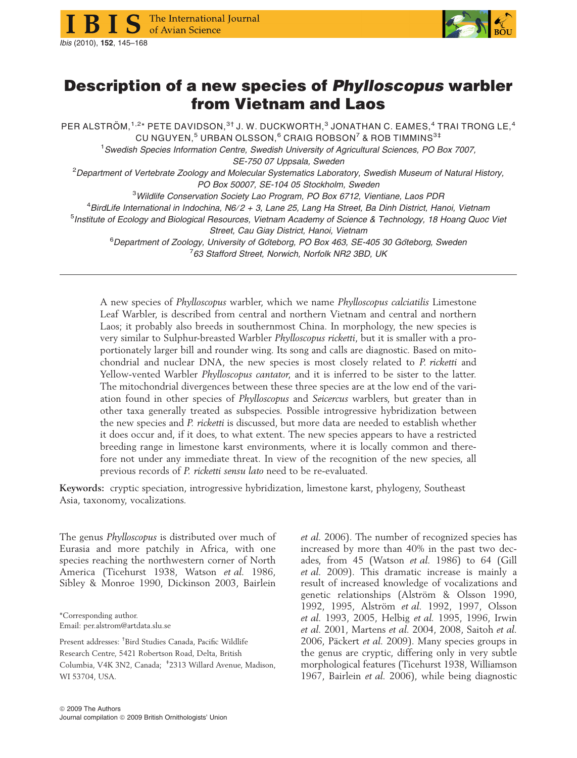



# Description of a new species of Phylloscopus warbler from Vietnam and Laos

PER ALSTRÖM,<sup>1,2\*</sup> PETE DAVIDSON,<sup>3†</sup> J. W. DUCKWORTH,<sup>3</sup> JONATHAN C. EAMES,<sup>4</sup> TRAI TRONG LE,<sup>4</sup> CU NGUYEN,<sup>5</sup> URBAN OLSSON, $6$  CRAIG ROBSON<sup>7</sup> & ROB TIMMINS<sup>3‡</sup> <sup>1</sup> Swedish Species Information Centre, Swedish University of Agricultural Sciences, PO Box 7007, SE-750 07 Uppsala, Sweden <sup>2</sup> Department of Vertebrate Zoology and Molecular Systematics Laboratory, Swedish Museum of Natural History, PO Box 50007, SE-104 05 Stockholm, Sweden <sup>3</sup>Wildlife Conservation Society Lao Program, PO Box 6712, Vientiane, Laos PDR 4BirdLife International in Indochina, N6/2 + 3, Lane 25, Lang Ha Street, Ba Dinh District, Hanoi, Vietnam <sup>5</sup>Institute of Ecology and Biological Resources, Vietnam Academy of Science & Technology, 18 Hoang Quoc Viet Street, Cau Giay District, Hanoi, Vietnam <sup>6</sup>Department of Zoology, University of Göteborg, PO Box 463, SE-405 30 Göteborg, Sweden <sup>7</sup>63 Stafford Street, Norwich, Norfolk NR2 3BD, UK

A new species of Phylloscopus warbler, which we name Phylloscopus calciatilis Limestone Leaf Warbler, is described from central and northern Vietnam and central and northern Laos; it probably also breeds in southernmost China. In morphology, the new species is very similar to Sulphur-breasted Warbler Phylloscopus ricketti, but it is smaller with a proportionately larger bill and rounder wing. Its song and calls are diagnostic. Based on mitochondrial and nuclear DNA, the new species is most closely related to P. ricketti and Yellow-vented Warbler Phylloscopus cantator, and it is inferred to be sister to the latter. The mitochondrial divergences between these three species are at the low end of the variation found in other species of Phylloscopus and Seicercus warblers, but greater than in other taxa generally treated as subspecies. Possible introgressive hybridization between the new species and P. ricketti is discussed, but more data are needed to establish whether it does occur and, if it does, to what extent. The new species appears to have a restricted breeding range in limestone karst environments, where it is locally common and therefore not under any immediate threat. In view of the recognition of the new species, all previous records of P. ricketti sensu lato need to be re-evaluated.

Keywords: cryptic speciation, introgressive hybridization, limestone karst, phylogeny, Southeast Asia, taxonomy, vocalizations.

The genus Phylloscopus is distributed over much of Eurasia and more patchily in Africa, with one species reaching the northwestern corner of North America (Ticehurst 1938, Watson et al. 1986, Sibley & Monroe 1990, Dickinson 2003, Bairlein

\*Corresponding author. Email: per.alstrom@artdata.slu.se

Present addresses: † Bird Studies Canada, Pacific Wildlife Research Centre, 5421 Robertson Road, Delta, British Columbia, V4K 3N2, Canada; ‡ 2313 Willard Avenue, Madison, WI 53704, USA.

et al. 2006). The number of recognized species has increased by more than 40% in the past two decades, from 45 (Watson et al. 1986) to 64 (Gill et al. 2009). This dramatic increase is mainly a result of increased knowledge of vocalizations and genetic relationships (Alström & Olsson 1990, 1992, 1995, Alström et al. 1992, 1997, Olsson et al. 1993, 2005, Helbig et al. 1995, 1996, Irwin et al. 2001, Martens et al. 2004, 2008, Saitoh et al. 2006, Päckert et al. 2009). Many species groups in the genus are cryptic, differing only in very subtle morphological features (Ticehurst 1938, Williamson 1967, Bairlein et al. 2006), while being diagnostic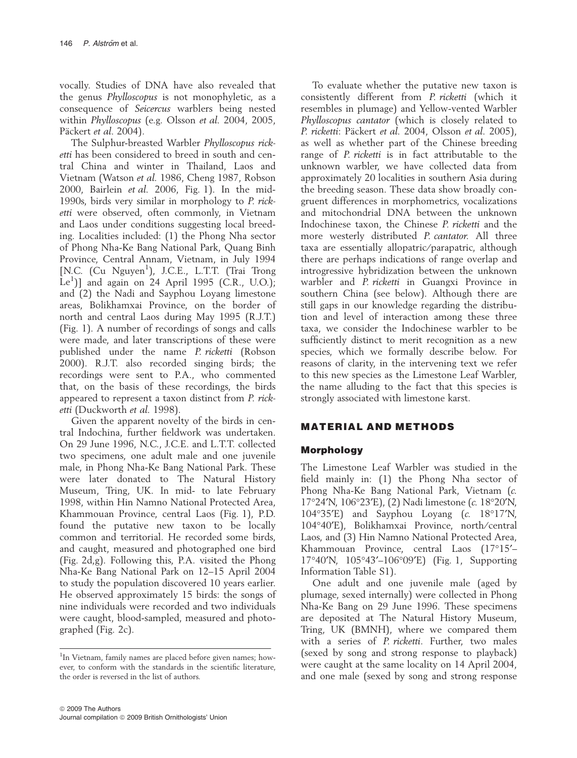vocally. Studies of DNA have also revealed that the genus Phylloscopus is not monophyletic, as a consequence of Seicercus warblers being nested within Phylloscopus (e.g. Olsson et al. 2004, 2005, Päckert et al. 2004).

The Sulphur-breasted Warbler Phylloscopus ricketti has been considered to breed in south and central China and winter in Thailand, Laos and Vietnam (Watson et al. 1986, Cheng 1987, Robson 2000, Bairlein et al. 2006, Fig. 1). In the mid-1990s, birds very similar in morphology to P. ricketti were observed, often commonly, in Vietnam and Laos under conditions suggesting local breeding. Localities included: (1) the Phong Nha sector of Phong Nha-Ke Bang National Park, Quang Binh Province, Central Annam, Vietnam, in July 1994 [N.C. (Cu Nguyen<sup>1</sup>), J.C.E., L.T.T. (Trai Trong Le<sup>1</sup>)] and again on 24 April 1995 (C.R., U.O.); and (2) the Nadi and Sayphou Loyang limestone areas, Bolikhamxai Province, on the border of north and central Laos during May 1995 (R.J.T.) (Fig. 1). A number of recordings of songs and calls were made, and later transcriptions of these were published under the name P. ricketti (Robson 2000). R.J.T. also recorded singing birds; the recordings were sent to P.A., who commented that, on the basis of these recordings, the birds appeared to represent a taxon distinct from P. ricketti (Duckworth et al. 1998).

Given the apparent novelty of the birds in central Indochina, further fieldwork was undertaken. On 29 June 1996, N.C., J.C.E. and L.T.T. collected two specimens, one adult male and one juvenile male, in Phong Nha-Ke Bang National Park. These were later donated to The Natural History Museum, Tring, UK. In mid- to late February 1998, within Hin Namno National Protected Area, Khammouan Province, central Laos (Fig. 1), P.D. found the putative new taxon to be locally common and territorial. He recorded some birds, and caught, measured and photographed one bird (Fig. 2d,g). Following this, P.A. visited the Phong Nha-Ke Bang National Park on 12–15 April 2004 to study the population discovered 10 years earlier. He observed approximately 15 birds: the songs of nine individuals were recorded and two individuals were caught, blood-sampled, measured and photographed (Fig. 2c).

To evaluate whether the putative new taxon is consistently different from P. ricketti (which it resembles in plumage) and Yellow-vented Warbler Phylloscopus cantator (which is closely related to P. ricketti: Päckert et al. 2004, Olsson et al. 2005), as well as whether part of the Chinese breeding range of P. ricketti is in fact attributable to the unknown warbler, we have collected data from approximately 20 localities in southern Asia during the breeding season. These data show broadly congruent differences in morphometrics, vocalizations and mitochondrial DNA between the unknown Indochinese taxon, the Chinese P. ricketti and the more westerly distributed P. cantator. All three taxa are essentially allopatric/parapatric, although there are perhaps indications of range overlap and introgressive hybridization between the unknown warbler and P. ricketti in Guangxi Province in southern China (see below). Although there are still gaps in our knowledge regarding the distribution and level of interaction among these three taxa, we consider the Indochinese warbler to be sufficiently distinct to merit recognition as a new species, which we formally describe below. For reasons of clarity, in the intervening text we refer to this new species as the Limestone Leaf Warbler, the name alluding to the fact that this species is strongly associated with limestone karst.

# MATERIAL AND METHODS

# Morphology

The Limestone Leaf Warbler was studied in the field mainly in: (1) the Phong Nha sector of Phong Nha-Ke Bang National Park, Vietnam (c. 17°24'N, 106°23'E), (2) Nadi limestone (c. 18°20'N, 104°35'E) and Sayphou Loyang (c. 18°17'N, 104°40'E), Bolikhamxai Province, north/central Laos, and (3) Hin Namno National Protected Area, Khammouan Province, central Laos (17°15'– 17°40'N, 105°43'–106°09'E) (Fig. 1, Supporting Information Table S1).

One adult and one juvenile male (aged by plumage, sexed internally) were collected in Phong Nha-Ke Bang on 29 June 1996. These specimens are deposited at The Natural History Museum, Tring, UK (BMNH), where we compared them with a series of *P. ricketti*. Further, two males (sexed by song and strong response to playback) were caught at the same locality on 14 April 2004, and one male (sexed by song and strong response

<sup>&</sup>lt;sup>1</sup>In Vietnam, family names are placed before given names; however, to conform with the standards in the scientific literature, the order is reversed in the list of authors.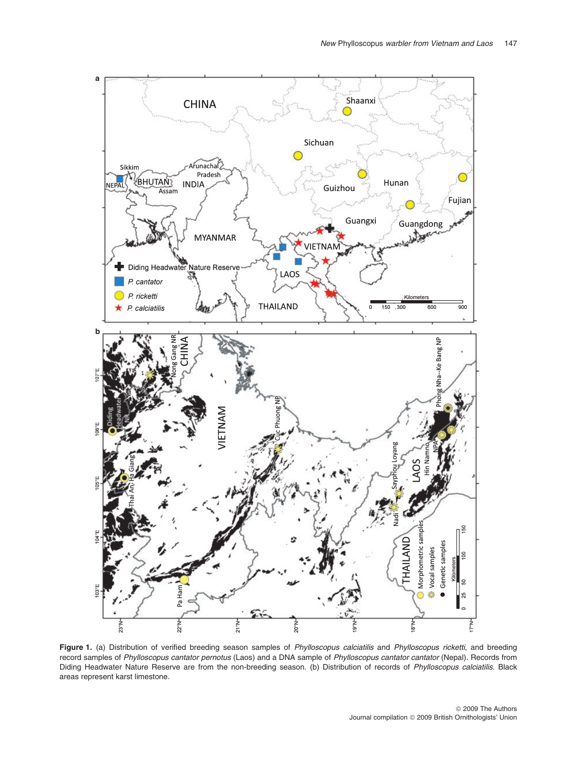

Figure 1. (a) Distribution of verified breeding season samples of Phylloscopus calciatilis and Phylloscopus ricketti, and breeding record samples of Phylloscopus cantator pernotus (Laos) and a DNA sample of Phylloscopus cantator cantator (Nepal). Records from Diding Headwater Nature Reserve are from the non-breeding season. (b) Distribution of records of Phylloscopus calciatilis. Black areas represent karst limestone.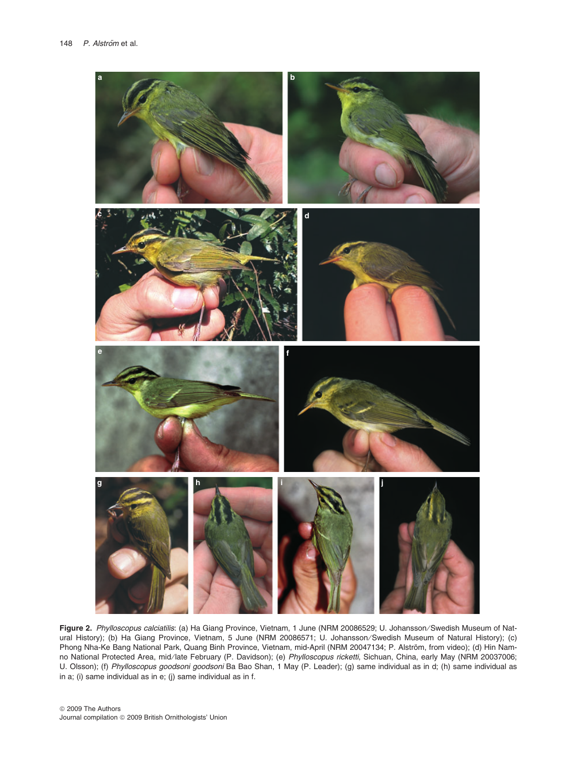

Figure 2. Phylloscopus calciatilis: (a) Ha Giang Province, Vietnam, 1 June (NRM 20086529; U. Johansson/Swedish Museum of Natural History); (b) Ha Giang Province, Vietnam, 5 June (NRM 20086571; U. Johansson/Swedish Museum of Natural History); (c) Phong Nha-Ke Bang National Park, Quang Binh Province, Vietnam, mid-April (NRM 20047134; P. Alström, from video); (d) Hin Namno National Protected Area, mid/late February (P. Davidson); (e) Phylloscopus ricketti, Sichuan, China, early May (NRM 20037006; U. Olsson); (f) Phylloscopus goodsoni goodsoni Ba Bao Shan, 1 May (P. Leader); (g) same individual as in d; (h) same individual as in a; (i) same individual as in e; (j) same individual as in f.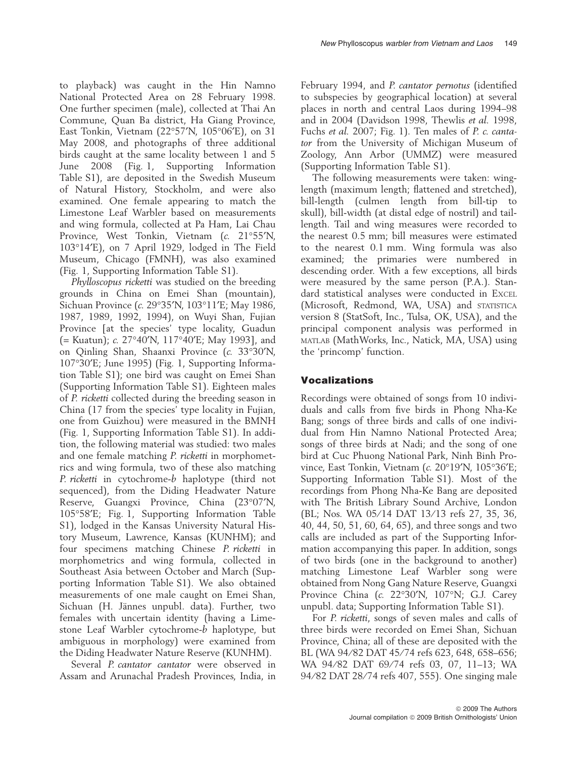to playback) was caught in the Hin Namno National Protected Area on 28 February 1998. One further specimen (male), collected at Thai An Commune, Quan Ba district, Ha Giang Province, East Tonkin, Vietnam (22°57′N, 105°06′E), on 31 May 2008, and photographs of three additional birds caught at the same locality between 1 and 5 June 2008 (Fig. 1, Supporting Information Table S1), are deposited in the Swedish Museum of Natural History, Stockholm, and were also examined. One female appearing to match the Limestone Leaf Warbler based on measurements and wing formula, collected at Pa Ham, Lai Chau Province, West Tonkin, Vietnam (c. 21°55'N, 103-14¢E), on 7 April 1929, lodged in The Field Museum, Chicago (FMNH), was also examined (Fig. 1, Supporting Information Table S1).

Phylloscopus ricketti was studied on the breeding grounds in China on Emei Shan (mountain), Sichuan Province (c. 29°35'N, 103°11'E; May 1986, 1987, 1989, 1992, 1994), on Wuyi Shan, Fujian Province [at the species' type locality, Guadun (= Kuatun); c. 27°40'N, 117°40'E; May 1993], and on Qinling Shan, Shaanxi Province (c. 33°30'N, 107°30'E; June 1995) (Fig. 1, Supporting Information Table S1); one bird was caught on Emei Shan (Supporting Information Table S1). Eighteen males of P. ricketti collected during the breeding season in China (17 from the species' type locality in Fujian, one from Guizhou) were measured in the BMNH (Fig. 1, Supporting Information Table S1). In addition, the following material was studied: two males and one female matching P. ricketti in morphometrics and wing formula, two of these also matching P. ricketti in cytochrome-b haplotype (third not sequenced), from the Diding Headwater Nature Reserve, Guangxi Province, China (23°07'N, 105°58'E; Fig. 1, Supporting Information Table S1), lodged in the Kansas University Natural History Museum, Lawrence, Kansas (KUNHM); and four specimens matching Chinese P. ricketti in morphometrics and wing formula, collected in Southeast Asia between October and March (Supporting Information Table S1). We also obtained measurements of one male caught on Emei Shan, Sichuan (H. Jännes unpubl. data). Further, two females with uncertain identity (having a Limestone Leaf Warbler cytochrome-b haplotype, but ambiguous in morphology) were examined from the Diding Headwater Nature Reserve (KUNHM).

Several P. cantator cantator were observed in Assam and Arunachal Pradesh Provinces, India, in February 1994, and P. cantator pernotus (identified to subspecies by geographical location) at several places in north and central Laos during 1994–98 and in 2004 (Davidson 1998, Thewlis et al. 1998, Fuchs et al. 2007; Fig. 1). Ten males of P. c. cantator from the University of Michigan Museum of Zoology, Ann Arbor (UMMZ) were measured (Supporting Information Table S1).

The following measurements were taken: winglength (maximum length; flattened and stretched), bill-length (culmen length from bill-tip to skull), bill-width (at distal edge of nostril) and taillength. Tail and wing measures were recorded to the nearest 0.5 mm; bill measures were estimated to the nearest 0.1 mm. Wing formula was also examined; the primaries were numbered in descending order. With a few exceptions, all birds were measured by the same person (P.A.). Standard statistical analyses were conducted in EXCEL (Microsoft, Redmond, WA, USA) and STATISTICA version 8 (StatSoft, Inc., Tulsa, OK, USA), and the principal component analysis was performed in MATLAB (MathWorks, Inc., Natick, MA, USA) using the 'princomp' function.

# Vocalizations

Recordings were obtained of songs from 10 individuals and calls from five birds in Phong Nha-Ke Bang; songs of three birds and calls of one individual from Hin Namno National Protected Area; songs of three birds at Nadi; and the song of one bird at Cuc Phuong National Park, Ninh Binh Province, East Tonkin, Vietnam (*c*. 20°19'N, 105°36'E; Supporting Information Table S1). Most of the recordings from Phong Nha-Ke Bang are deposited with The British Library Sound Archive, London (BL; Nos. WA 05/14 DAT 13/13 refs 27, 35, 36, 40, 44, 50, 51, 60, 64, 65), and three songs and two calls are included as part of the Supporting Information accompanying this paper. In addition, songs of two birds (one in the background to another) matching Limestone Leaf Warbler song were obtained from Nong Gang Nature Reserve, Guangxi Province China (c. 22°30'N, 107°N; G.J. Carey unpubl. data; Supporting Information Table S1).

For P. ricketti, songs of seven males and calls of three birds were recorded on Emei Shan, Sichuan Province, China; all of these are deposited with the BL (WA 94/82 DAT 45/74 refs 623, 648, 658–656; WA 94/82 DAT 69/74 refs 03, 07, 11–13; WA 94/82 DAT 28/74 refs 407, 555). One singing male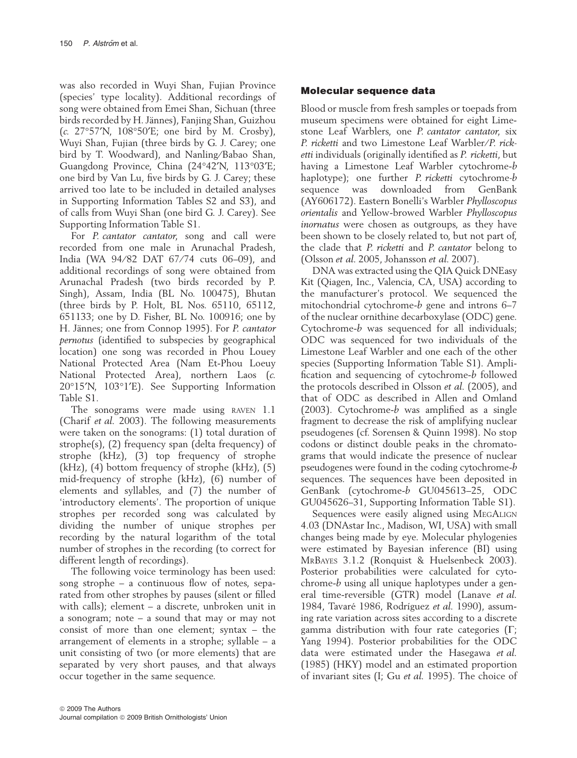was also recorded in Wuyi Shan, Fujian Province (species' type locality). Additional recordings of song were obtained from Emei Shan, Sichuan (three birds recorded by H. Jännes), Fanjing Shan, Guizhou  $(c. 27°57'N, 108°50'E;$  one bird by M. Crosby), Wuyi Shan, Fujian (three birds by G. J. Carey; one bird by T. Woodward), and Nanling/Babao Shan, Guangdong Province, China (24°42'N, 113°03'E; one bird by Van Lu, five birds by G. J. Carey; these arrived too late to be included in detailed analyses in Supporting Information Tables S2 and S3), and of calls from Wuyi Shan (one bird G. J. Carey). See Supporting Information Table S1.

For *P. cantator cantator*, song and call were recorded from one male in Arunachal Pradesh, India (WA 94/82 DAT 67/74 cuts 06-09), and additional recordings of song were obtained from Arunachal Pradesh (two birds recorded by P. Singh), Assam, India (BL No. 100475), Bhutan (three birds by P. Holt, BL Nos. 65110, 65112, 651133; one by D. Fisher, BL No. 100916; one by H. Jännes; one from Connop 1995). For P. cantator pernotus (identified to subspecies by geographical location) one song was recorded in Phou Louey National Protected Area (Nam Et-Phou Loeuy National Protected Area), northern Laos (c. 20°15'N, 103°1'E). See Supporting Information Table S1.

The sonograms were made using RAVEN 1.1 (Charif et al. 2003). The following measurements were taken on the sonograms: (1) total duration of strophe(s), (2) frequency span (delta frequency) of strophe (kHz), (3) top frequency of strophe (kHz), (4) bottom frequency of strophe (kHz), (5) mid-frequency of strophe (kHz), (6) number of elements and syllables, and (7) the number of 'introductory elements'. The proportion of unique strophes per recorded song was calculated by dividing the number of unique strophes per recording by the natural logarithm of the total number of strophes in the recording (to correct for different length of recordings).

The following voice terminology has been used: song strophe – a continuous flow of notes, separated from other strophes by pauses (silent or filled with calls); element – a discrete, unbroken unit in a sonogram; note – a sound that may or may not consist of more than one element; syntax – the arrangement of elements in a strophe; syllable – a unit consisting of two (or more elements) that are separated by very short pauses, and that always occur together in the same sequence.

# Molecular sequence data

Blood or muscle from fresh samples or toepads from museum specimens were obtained for eight Limestone Leaf Warblers, one P. cantator cantator, six P. ricketti and two Limestone Leaf Warbler⁄P. ricketti individuals (originally identified as P. ricketti, but having a Limestone Leaf Warbler cytochrome-b haplotype); one further *P. ricketti* cytochrome-*b* sequence was downloaded from GenBank (AY606172). Eastern Bonelli's Warbler Phylloscopus orientalis and Yellow-browed Warbler Phylloscopus inornatus were chosen as outgroups, as they have been shown to be closely related to, but not part of, the clade that P. ricketti and P. cantator belong to (Olsson et al. 2005, Johansson et al. 2007).

DNA was extracted using the QIA Quick DNEasy Kit (Qiagen, Inc., Valencia, CA, USA) according to the manufacturer's protocol. We sequenced the mitochondrial cytochrome-b gene and introns 6–7 of the nuclear ornithine decarboxylase (ODC) gene. Cytochrome-b was sequenced for all individuals; ODC was sequenced for two individuals of the Limestone Leaf Warbler and one each of the other species (Supporting Information Table S1). Amplification and sequencing of cytochrome-b followed the protocols described in Olsson et al. (2005), and that of ODC as described in Allen and Omland (2003). Cytochrome-b was amplified as a single fragment to decrease the risk of amplifying nuclear pseudogenes (cf. Sorensen & Quinn 1998). No stop codons or distinct double peaks in the chromatograms that would indicate the presence of nuclear pseudogenes were found in the coding cytochrome-b sequences. The sequences have been deposited in GenBank (cytochrome-b GU045613–25, ODC GU045626–31, Supporting Information Table S1).

Sequences were easily aligned using MEGALIGN 4.03 (DNAstar Inc., Madison, WI, USA) with small changes being made by eye. Molecular phylogenies were estimated by Bayesian inference (BI) using MRBAYES 3.1.2 (Ronquist & Huelsenbeck 2003). Posterior probabilities were calculated for cytochrome-b using all unique haplotypes under a general time-reversible (GTR) model (Lanave et al. 1984, Tavaré 1986, Rodríguez et al. 1990), assuming rate variation across sites according to a discrete gamma distribution with four rate categories  $(\Gamma;$ Yang 1994). Posterior probabilities for the ODC data were estimated under the Hasegawa et al. (1985) (HKY) model and an estimated proportion of invariant sites (I; Gu et al. 1995). The choice of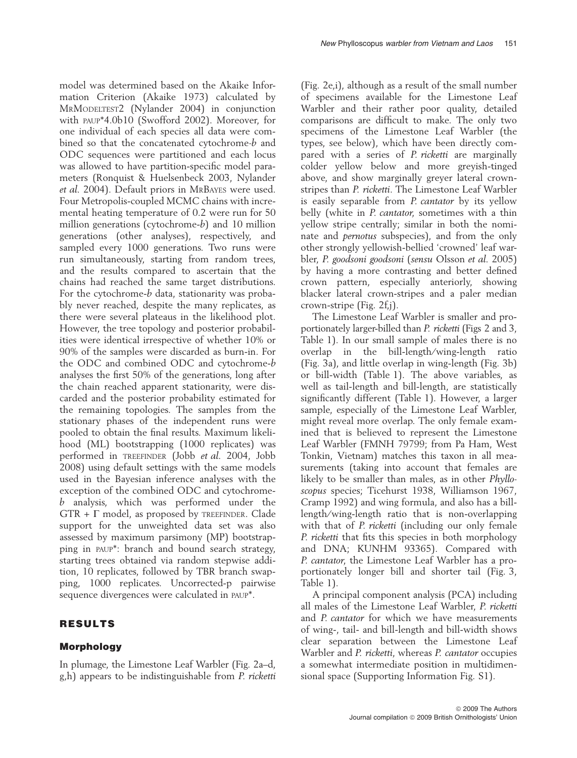model was determined based on the Akaike Information Criterion (Akaike 1973) calculated by MRMODELTEST2 (Nylander 2004) in conjunction with PAUP\*4.0b10 (Swofford 2002). Moreover, for one individual of each species all data were combined so that the concatenated cytochrome-b and ODC sequences were partitioned and each locus was allowed to have partition-specific model parameters (Ronquist & Huelsenbeck 2003, Nylander et al. 2004). Default priors in MRBAYES were used. Four Metropolis-coupled MCMC chains with incremental heating temperature of 0.2 were run for 50 million generations (cytochrome-b) and 10 million generations (other analyses), respectively, and sampled every 1000 generations. Two runs were run simultaneously, starting from random trees, and the results compared to ascertain that the chains had reached the same target distributions. For the cytochrome- $b$  data, stationarity was probably never reached, despite the many replicates, as there were several plateaus in the likelihood plot. However, the tree topology and posterior probabilities were identical irrespective of whether 10% or 90% of the samples were discarded as burn-in. For the ODC and combined ODC and cytochrome-b analyses the first 50% of the generations, long after the chain reached apparent stationarity, were discarded and the posterior probability estimated for the remaining topologies. The samples from the stationary phases of the independent runs were pooled to obtain the final results. Maximum likelihood (ML) bootstrapping (1000 replicates) was performed in TREEFINDER (Jobb et al. 2004, Jobb 2008) using default settings with the same models used in the Bayesian inference analyses with the exception of the combined ODC and cytochromeb analysis, which was performed under the  $GTR + \Gamma$  model, as proposed by TREEFINDER. Clade support for the unweighted data set was also assessed by maximum parsimony (MP) bootstrapping in PAUP\*: branch and bound search strategy, starting trees obtained via random stepwise addition, 10 replicates, followed by TBR branch swapping, 1000 replicates. Uncorrected-p pairwise sequence divergences were calculated in PAUP\*.

# RESULTS

# Morphology

In plumage, the Limestone Leaf Warbler (Fig. 2a–d, g,h) appears to be indistinguishable from P. ricketti

(Fig. 2e,i), although as a result of the small number of specimens available for the Limestone Leaf Warbler and their rather poor quality, detailed comparisons are difficult to make. The only two specimens of the Limestone Leaf Warbler (the types, see below), which have been directly compared with a series of P. ricketti are marginally colder yellow below and more greyish-tinged above, and show marginally greyer lateral crownstripes than P. ricketti. The Limestone Leaf Warbler is easily separable from *P. cantator* by its yellow belly (white in P. cantator, sometimes with a thin yellow stripe centrally; similar in both the nominate and pernotus subspecies), and from the only other strongly yellowish-bellied 'crowned' leaf warbler, P. goodsoni goodsoni (sensu Olsson et al. 2005) by having a more contrasting and better defined crown pattern, especially anteriorly, showing blacker lateral crown-stripes and a paler median crown-stripe (Fig. 2f,j).

The Limestone Leaf Warbler is smaller and proportionately larger-billed than P. ricketti (Figs 2 and 3, Table 1). In our small sample of males there is no overlap in the bill-length/wing-length ratio (Fig. 3a), and little overlap in wing-length (Fig. 3b) or bill-width (Table 1). The above variables, as well as tail-length and bill-length, are statistically significantly different (Table 1). However, a larger sample, especially of the Limestone Leaf Warbler, might reveal more overlap. The only female examined that is believed to represent the Limestone Leaf Warbler (FMNH 79799; from Pa Ham, West Tonkin, Vietnam) matches this taxon in all measurements (taking into account that females are likely to be smaller than males, as in other *Phyllo*scopus species; Ticehurst 1938, Williamson 1967, Cramp 1992) and wing formula, and also has a billlength/wing-length ratio that is non-overlapping with that of P. ricketti (including our only female P. ricketti that fits this species in both morphology and DNA; KUNHM 93365). Compared with P. cantator, the Limestone Leaf Warbler has a proportionately longer bill and shorter tail (Fig. 3, Table 1).

A principal component analysis (PCA) including all males of the Limestone Leaf Warbler, P. ricketti and P. cantator for which we have measurements of wing-, tail- and bill-length and bill-width shows clear separation between the Limestone Leaf Warbler and P. ricketti, whereas P. cantator occupies a somewhat intermediate position in multidimensional space (Supporting Information Fig. S1).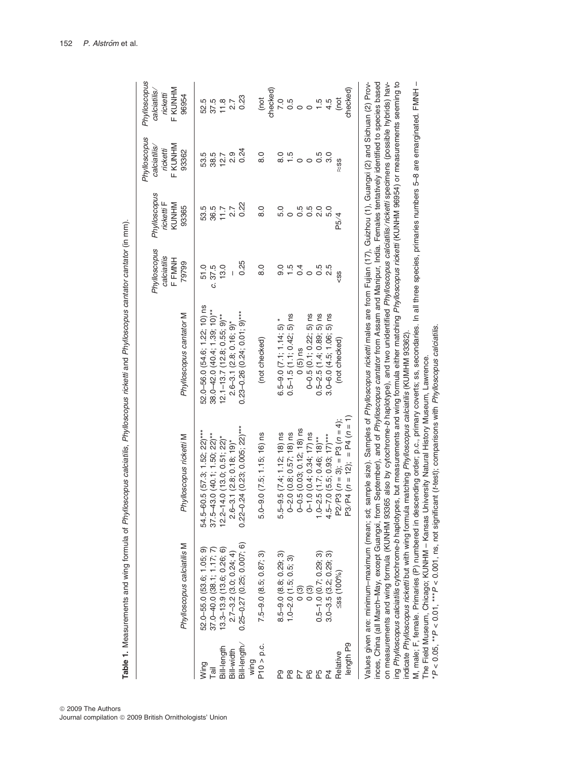|                                                                               | Phylloscopus calciatilis M                                                                                                                                                                | Phylloscopus ricketti M                                                                                                                                                                                                                                                                                                                                                                                                                                                                                                                                                                                                                                                                                  | Phylloscopus cantator M                                                                                                                                                                        | Phylloscopus<br>calciatilis<br>F FMNH<br>79799       | Phylloscopus<br>ricketti F<br>KUNHM<br>93365         | Phylloscopus<br>F KUNHM<br>calciatilis/<br>ricketti<br>93362             | Phylloscopus<br>calciatilis/<br>F KUNHM<br>ricketti<br>96954 |
|-------------------------------------------------------------------------------|-------------------------------------------------------------------------------------------------------------------------------------------------------------------------------------------|----------------------------------------------------------------------------------------------------------------------------------------------------------------------------------------------------------------------------------------------------------------------------------------------------------------------------------------------------------------------------------------------------------------------------------------------------------------------------------------------------------------------------------------------------------------------------------------------------------------------------------------------------------------------------------------------------------|------------------------------------------------------------------------------------------------------------------------------------------------------------------------------------------------|------------------------------------------------------|------------------------------------------------------|--------------------------------------------------------------------------|--------------------------------------------------------------|
| Bill-length/<br>P10 > p.c.<br>Bill-length<br>Bill-width<br>wing<br>Wing<br>Īā | $0.25 - 0.27$ $(0.25; 0.007; 6)$<br>52.0-55.0 (53.6; 1.05; 9)<br>$37.0 - 40.0$ $(38.1, 1.17, 7)$<br>13.3-13.9 (13.6; 0.26; 6)<br>$7.5 - 9.0 (8.5, 0.87; 3)$<br>$2.7 - 3.2$ (3.0; 0.24; 4) | $0.22 - 0.24$ (0.23; 0.005; 22)***<br>54.5-60.5 (57.3; 1.52; 22)***<br>$37.5-43.0$ (40.1; 1.50; 22) <sup>**</sup><br>12.2-14.0 (13.0; 0.51; 22) <sup>*</sup><br>$5.0 - 9.0$ $(7.5, 1.15, 16)$ ns<br>$2.6 - 3.1$ $(2.8, 0.18, 19)^*$                                                                                                                                                                                                                                                                                                                                                                                                                                                                      | 52.0-56.0 (54.6; 1.22; 10) ns<br>38.0-42.0 (40.4; 1.39; 10)**<br>$0.23 - 0.26$ (0.24; 0.01; 9)***<br>$12.1 - 13.7$ (12.8; 0.55; 9) <sup>**</sup><br>$2.6 - 3.1(2.8; 0.16; 9)$<br>(not checked) | 0.25<br>13.0<br>51.0<br>c.37.5<br>$\frac{0}{8}$<br>I | 0.22<br>$\frac{0}{8}$<br>53.5<br>36.5<br>11.7<br>2.7 | 0.24<br>$\frac{0}{8}$<br>53.5<br>38.5<br>12.7<br>0.9                     | checked)<br>0.23<br>(not<br>52.5<br>37.5<br>11.8<br>2.7      |
| length P9<br>Relative<br>P8<br>P.<br>P.                                       | 8.5-9.0 (8.8; 0.29; 3)<br>$0.5 - 1.0$ $(0.7; 0.29; 3)$<br>$3.0 - 3.5$ $(3.2, 0.29, 3)$<br>$1.0 - 2.0$ $(1.5, 0.5, 3)$<br>$\leq$ ss (100%)<br>0(3)<br>$\frac{1}{2}$                        | $P3/P4 (n = 12); = P4 (n = 1)$<br>P2/P3 $(n = 3)$ ; = P3 $(n = 4)$ ;<br>$0 - 0.5$ (0.03; 0.12; 18) ns<br>$0 - 2.0$ $(0.8; 0.57; 18)$ ns<br>$0 - 1.0$ $(0.4; 0.34; 17)$ ns<br>5.5-9.5 $(7.4; 1.12; 18)$ ns<br>$4.5 - 7.0$ (5.5; 0.93; 17)***<br>$1.0 - 2.5$ (1.7; 0.46; 18) <sup>**</sup>                                                                                                                                                                                                                                                                                                                                                                                                                 | $0.5 - 1.5(1.1; 0.42; 5)$ ns<br>$0 - 0.5(0.1; 0.22; 5)$ ns<br>$0.5 - 2.5(1.4; 0.89; 5)$ ns<br>$3.0 - 6.0$ $(4.5, 1.06, 5)$ ns<br>$6.5 - 9.0(7.1; 1.14; 5)$<br>(not checked)<br>$0(5)$ ns       | 9.0<br>0.4<br>0.5<br>1.5<br>2.5<br>$\circ$<br>&85    | 5.0<br>to to co<br>O O N<br>5.0<br>$\circ$<br>P5/4   | $\frac{0}{8}$<br>0.5<br>3.0<br>1.5<br>$\approx$ SS<br>$\circ$<br>$\circ$ | checked)<br>(not<br>7.0<br>0.5<br>1.5<br>4.5<br>$\circ$      |
|                                                                               |                                                                                                                                                                                           | on measurements and wing formula (KUNHM 93365 also by cytochrome-b haplotype), and two unidentified Phylloscopus calciatilis/ricketti specimens (possible hybrids) hav-<br>inces, China (all March-May, except Guangxi, from September), and of Phylloscopus cantator from Assam and Manipur, India. Females tentatively identified to species based<br>ing Phylloscopus calciatilis cytochrome-b haplotypes, but measurements and wing formula either matching Phylloscopus ricketti (KUNHM 96954) or measurements seeming to<br>Values given are: minimum-maximum (mean; sd; sample size). Samples of Phylloscopus ricketti males are from Fujian (17), Guizhou (1), Guangxi (2) and Sichuan (2) Prov- |                                                                                                                                                                                                |                                                      |                                                      |                                                                          |                                                              |

indicate Phylloscopus ricketti but with wing formula matching Phylloscopus calciatilis (KUMHM 93362).

M, male; F, female. Primaries (P) numbered in descending order; p.c., primary coverts; ss, secondaries. In all three species, primaries numbers 5–8 are emarginated. FMNH –

The Field Museum, Chicago; KUNHM – Kansas University Natural History Museum, Lawrence. \*P < 0.05, \*\* P $P < 0.01$ ,  $***$ Q, P < 0.001, ns, not significant (t-test); comparisons with Phylloscopus calciatilis.

152 P. Alström et al.

Table 1. Measurements and wing formula of Phylloscopus calciatilis, Phylloscopus ricketti and Phylloscopus cantator cantator (in mm).

Table 1. Measurements and wing formula of Phylloscopus calciatilis, Phylloscopus ricketti and Phylloscopus cantator cantator (in mm).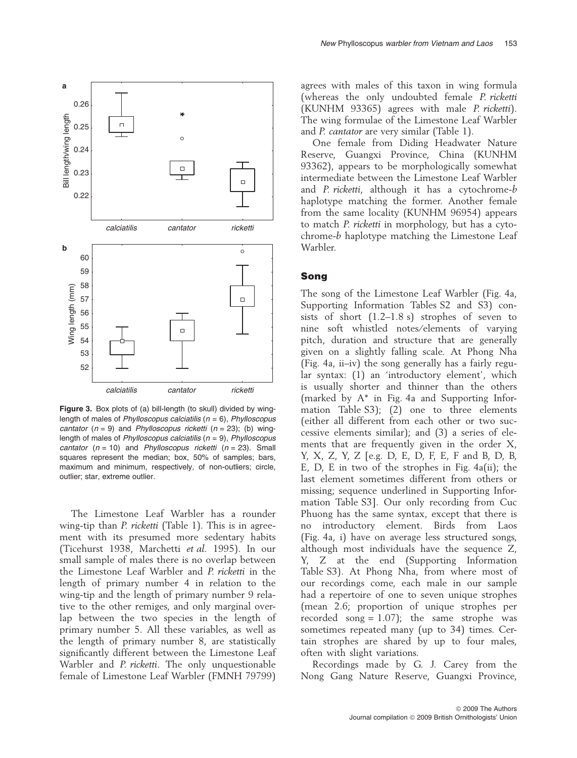

Figure 3. Box plots of (a) bill-length (to skull) divided by winglength of males of Phylloscopus calciatilis ( $n = 6$ ), Phylloscopus cantator ( $n = 9$ ) and *Phylloscopus ricketti* ( $n = 23$ ); (b) winglength of males of Phylloscopus calciatilis ( $n = 9$ ), Phylloscopus cantator ( $n = 10$ ) and Phylloscopus ricketti ( $n = 23$ ). Small squares represent the median; box, 50% of samples; bars, maximum and minimum, respectively, of non-outliers; circle, outlier; star, extreme outlier.

The Limestone Leaf Warbler has a rounder wing-tip than P. ricketti (Table 1). This is in agreement with its presumed more sedentary habits (Ticehurst 1938, Marchetti et al. 1995). In our small sample of males there is no overlap between the Limestone Leaf Warbler and P. ricketti in the length of primary number 4 in relation to the wing-tip and the length of primary number 9 relative to the other remiges, and only marginal overlap between the two species in the length of primary number 5. All these variables, as well as the length of primary number 8, are statistically significantly different between the Limestone Leaf Warbler and *P. ricketti*. The only unquestionable female of Limestone Leaf Warbler (FMNH 79799)

agrees with males of this taxon in wing formula (whereas the only undoubted female P. ricketti (KUNHM 93365) agrees with male P. ricketti). The wing formulae of the Limestone Leaf Warbler and P. cantator are very similar (Table 1).

One female from Diding Headwater Nature Reserve, Guangxi Province, China (KUNHM 93362), appears to be morphologically somewhat intermediate between the Limestone Leaf Warbler and P. ricketti, although it has a cytochrome-b haplotype matching the former. Another female from the same locality (KUNHM 96954) appears to match P. ricketti in morphology, but has a cytochrome-b haplotype matching the Limestone Leaf Warbler.

#### Song

The song of the Limestone Leaf Warbler (Fig. 4a, Supporting Information Tables S2 and S3) consists of short (1.2–1.8 s) strophes of seven to nine soft whistled notes⁄ elements of varying pitch, duration and structure that are generally given on a slightly falling scale. At Phong Nha (Fig. 4a, ii–iv) the song generally has a fairly regular syntax: (1) an 'introductory element', which is usually shorter and thinner than the others (marked by A\* in Fig. 4a and Supporting Information Table S3); (2) one to three elements (either all different from each other or two successive elements similar); and (3) a series of elements that are frequently given in the order X, Y, X, Z, Y, Z [e.g. D, E, D, F, E, F and B, D, B, E, D, E in two of the strophes in Fig. 4a(ii); the last element sometimes different from others or missing; sequence underlined in Supporting Information Table S3]. Our only recording from Cuc Phuong has the same syntax, except that there is no introductory element. Birds from Laos (Fig. 4a, i) have on average less structured songs, although most individuals have the sequence Z, Y, Z at the end (Supporting Information Table S3). At Phong Nha, from where most of our recordings come, each male in our sample had a repertoire of one to seven unique strophes (mean 2.6; proportion of unique strophes per recorded song  $= 1.07$ ; the same strophe was sometimes repeated many (up to 34) times. Certain strophes are shared by up to four males, often with slight variations.

Recordings made by G. J. Carey from the Nong Gang Nature Reserve, Guangxi Province,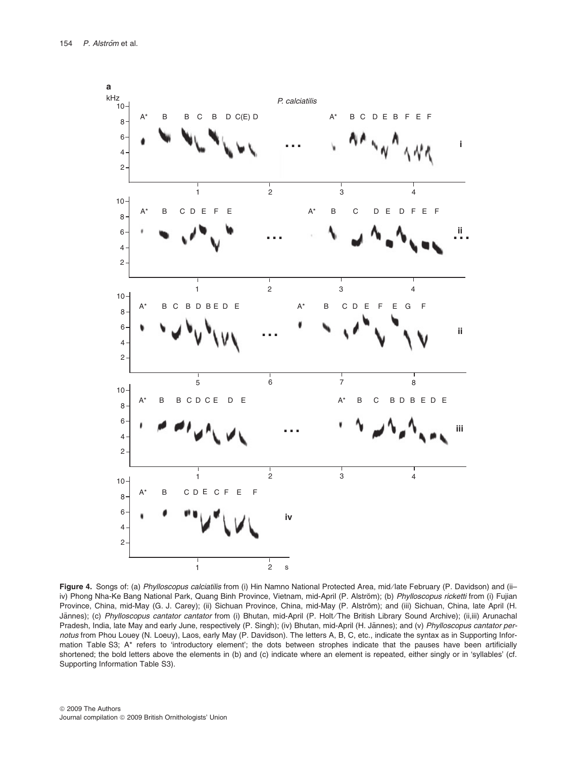

Figure 4. Songs of: (a) Phylloscopus calciatilis from (i) Hin Namno National Protected Area, mid/late February (P. Davidson) and (iiiv) Phong Nha-Ke Bang National Park, Quang Binh Province, Vietnam, mid-April (P. Alström); (b) Phylloscopus ricketti from (i) Fujian Province, China, mid-May (G. J. Carey); (ii) Sichuan Province, China, mid-May (P. Alström); and (iii) Sichuan, China, late April (H. Jännes); (c) Phylloscopus cantator cantator from (i) Bhutan, mid-April (P. Holt/The British Library Sound Archive); (ii,iii) Arunachal Pradesh, India, late May and early June, respectively (P. Singh); (iv) Bhutan, mid-April (H. Jännes); and (v) Phylloscopus cantator pernotus from Phou Louey (N. Loeuy), Laos, early May (P. Davidson). The letters A, B, C, etc., indicate the syntax as in Supporting Information Table S3; A\* refers to 'introductory element'; the dots between strophes indicate that the pauses have been artificially shortened; the bold letters above the elements in (b) and (c) indicate where an element is repeated, either singly or in 'syllables' (cf. Supporting Information Table S3).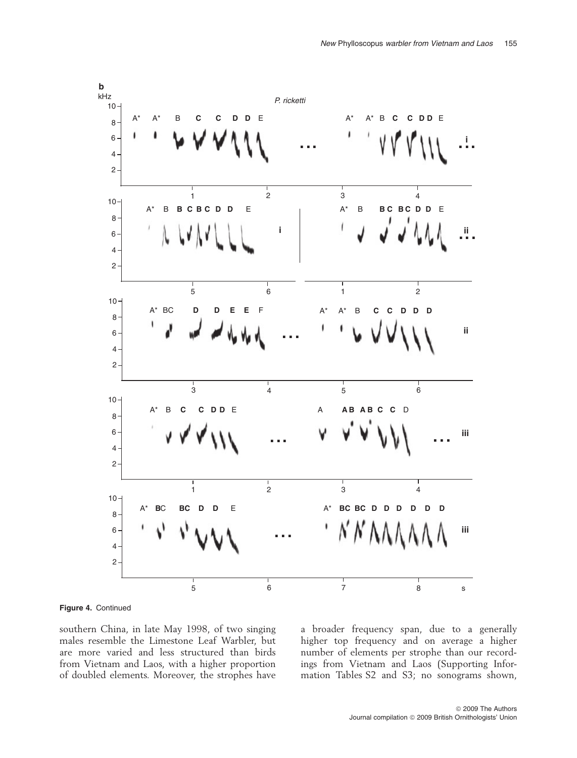

Figure 4. Continued

southern China, in late May 1998, of two singing males resemble the Limestone Leaf Warbler, but are more varied and less structured than birds from Vietnam and Laos, with a higher proportion of doubled elements. Moreover, the strophes have a broader frequency span, due to a generally higher top frequency and on average a higher number of elements per strophe than our recordings from Vietnam and Laos (Supporting Information Tables S2 and S3; no sonograms shown,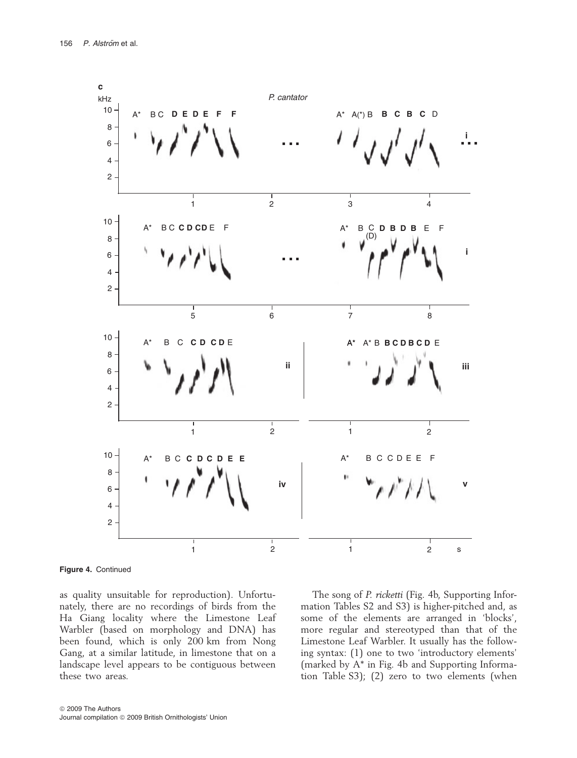

Figure 4. Continued

as quality unsuitable for reproduction). Unfortunately, there are no recordings of birds from the Ha Giang locality where the Limestone Leaf Warbler (based on morphology and DNA) has been found, which is only 200 km from Nong Gang, at a similar latitude, in limestone that on a landscape level appears to be contiguous between these two areas.

The song of P. ricketti (Fig. 4b, Supporting Information Tables S2 and S3) is higher-pitched and, as some of the elements are arranged in 'blocks', more regular and stereotyped than that of the Limestone Leaf Warbler. It usually has the following syntax: (1) one to two 'introductory elements' (marked by A\* in Fig. 4b and Supporting Information Table S3); (2) zero to two elements (when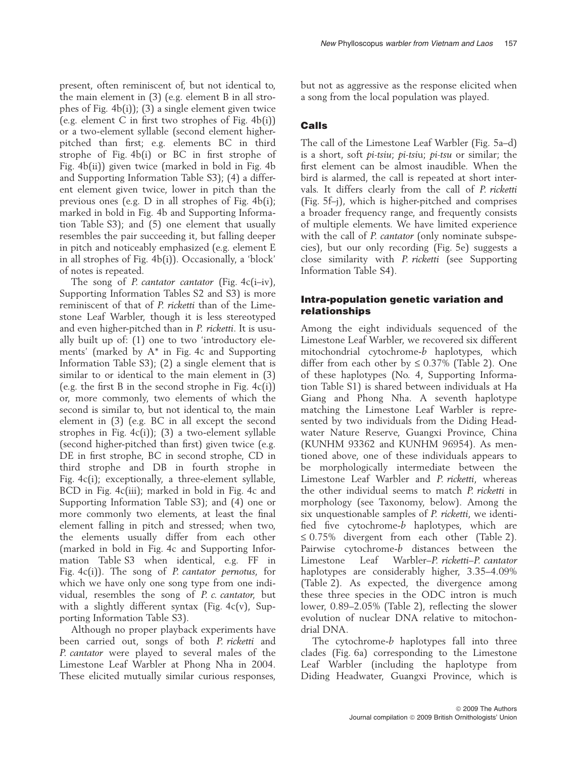present, often reminiscent of, but not identical to, the main element in (3) (e.g. element B in all strophes of Fig. 4b(i)); (3) a single element given twice (e.g. element C in first two strophes of Fig. 4b(i)) or a two-element syllable (second element higherpitched than first; e.g. elements BC in third strophe of Fig. 4b(i) or BC in first strophe of Fig. 4b(ii)) given twice (marked in bold in Fig. 4b and Supporting Information Table S3); (4) a different element given twice, lower in pitch than the previous ones (e.g. D in all strophes of Fig. 4b(i); marked in bold in Fig. 4b and Supporting Information Table S3); and (5) one element that usually resembles the pair succeeding it, but falling deeper in pitch and noticeably emphasized (e.g. element E in all strophes of Fig. 4b(i)). Occasionally, a 'block' of notes is repeated.

The song of *P. cantator cantator* (Fig. 4c(i–iv), Supporting Information Tables S2 and S3) is more reminiscent of that of P. ricketti than of the Limestone Leaf Warbler, though it is less stereotyped and even higher-pitched than in P. ricketti. It is usually built up of: (1) one to two 'introductory elements' (marked by A\* in Fig. 4c and Supporting Information Table S3); (2) a single element that is similar to or identical to the main element in (3) (e.g. the first  $B$  in the second strophe in Fig. 4c(i)) or, more commonly, two elements of which the second is similar to, but not identical to, the main element in (3) (e.g. BC in all except the second strophes in Fig.  $4c(i)$ ; (3) a two-element syllable (second higher-pitched than first) given twice (e.g. DE in first strophe, BC in second strophe, CD in third strophe and DB in fourth strophe in Fig. 4c(i); exceptionally, a three-element syllable, BCD in Fig. 4c(iii); marked in bold in Fig. 4c and Supporting Information Table S3); and (4) one or more commonly two elements, at least the final element falling in pitch and stressed; when two, the elements usually differ from each other (marked in bold in Fig. 4c and Supporting Information Table S3 when identical, e.g. FF in Fig. 4c(i)). The song of P. cantator pernotus, for which we have only one song type from one individual, resembles the song of P. c. cantator, but with a slightly different syntax (Fig. 4c(v), Supporting Information Table S3).

Although no proper playback experiments have been carried out, songs of both P. ricketti and P. cantator were played to several males of the Limestone Leaf Warbler at Phong Nha in 2004. These elicited mutually similar curious responses,

but not as aggressive as the response elicited when a song from the local population was played.

# Calls

The call of the Limestone Leaf Warbler (Fig. 5a–d) is a short, soft pi-tsiu; pi-tsiu; pi-tsu or similar; the first element can be almost inaudible. When the bird is alarmed, the call is repeated at short intervals. It differs clearly from the call of P. ricketti (Fig. 5f–j), which is higher-pitched and comprises a broader frequency range, and frequently consists of multiple elements. We have limited experience with the call of P. cantator (only nominate subspecies), but our only recording (Fig. 5e) suggests a close similarity with P. ricketti (see Supporting Information Table S4).

### Intra-population genetic variation and relationships

Among the eight individuals sequenced of the Limestone Leaf Warbler, we recovered six different mitochondrial cytochrome-b haplotypes, which differ from each other by  $\leq 0.37\%$  (Table 2). One of these haplotypes (No. 4, Supporting Information Table S1) is shared between individuals at Ha Giang and Phong Nha. A seventh haplotype matching the Limestone Leaf Warbler is represented by two individuals from the Diding Headwater Nature Reserve, Guangxi Province, China (KUNHM 93362 and KUNHM 96954). As mentioned above, one of these individuals appears to be morphologically intermediate between the Limestone Leaf Warbler and P. ricketti, whereas the other individual seems to match P. ricketti in morphology (see Taxonomy, below). Among the six unquestionable samples of P. ricketti, we identified five cytochrome-b haplotypes, which are  $\leq 0.75\%$  divergent from each other (Table 2). Pairwise cytochrome-b distances between the Limestone Leaf Warbler–P. ricketti–P. cantator haplotypes are considerably higher, 3.35–4.09% (Table 2). As expected, the divergence among these three species in the ODC intron is much lower, 0.89–2.05% (Table 2), reflecting the slower evolution of nuclear DNA relative to mitochondrial DNA.

The cytochrome-b haplotypes fall into three clades (Fig. 6a) corresponding to the Limestone Leaf Warbler (including the haplotype from Diding Headwater, Guangxi Province, which is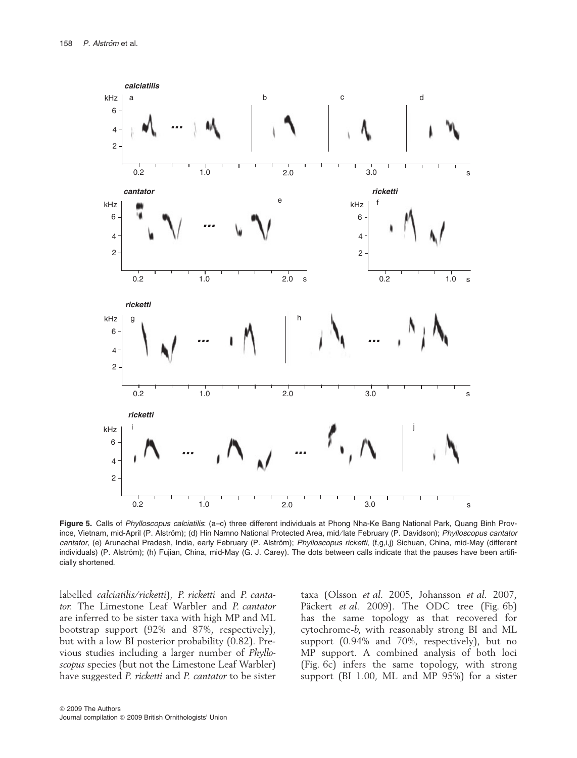

Figure 5. Calls of Phylloscopus calciatilis: (a-c) three different individuals at Phong Nha-Ke Bang National Park, Quang Binh Province, Vietnam, mid-April (P. Alström); (d) Hin Namno National Protected Area, mid/late February (P. Davidson); Phylloscopus cantator cantator, (e) Arunachal Pradesh, India, early February (P. Alström); Phylloscopus ricketti, (f,g,i,j) Sichuan, China, mid-May (different individuals) (P. Alström); (h) Fujian, China, mid-May (G. J. Carey). The dots between calls indicate that the pauses have been artificially shortened.

labelled calciatilis⁄ricketti), P. ricketti and P. cantator. The Limestone Leaf Warbler and P. cantator are inferred to be sister taxa with high MP and ML bootstrap support (92% and 87%, respectively), but with a low BI posterior probability (0.82). Previous studies including a larger number of Phylloscopus species (but not the Limestone Leaf Warbler) have suggested P. ricketti and P. cantator to be sister taxa (Olsson et al. 2005, Johansson et al. 2007, Päckert et al. 2009). The ODC tree (Fig. 6b) has the same topology as that recovered for cytochrome-b, with reasonably strong BI and ML support (0.94% and 70%, respectively), but no MP support. A combined analysis of both loci (Fig. 6c) infers the same topology, with strong support (BI 1.00, ML and MP 95%) for a sister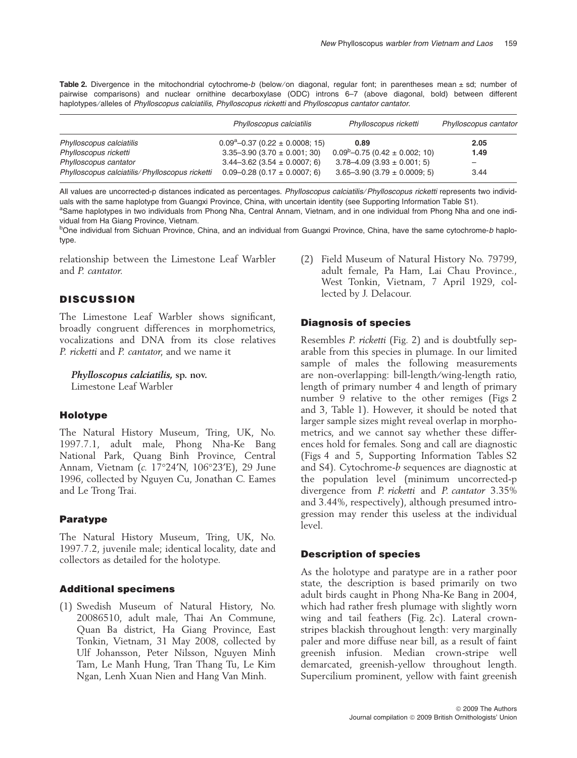Table 2. Divergence in the mitochondrial cytochrome-b (below/on diagonal, regular font; in parentheses mean  $\pm$  sd; number of pairwise comparisons) and nuclear ornithine decarboxylase (ODC) introns 6–7 (above diagonal, bold) between different haplotypes/alleles of Phylloscopus calciatilis, Phylloscopus ricketti and Phylloscopus cantator cantator.

|                                                | Phylloscopus calciatilis                 | Phylloscopus ricketti                        | Phylloscopus cantator |
|------------------------------------------------|------------------------------------------|----------------------------------------------|-----------------------|
| Phylloscopus calciatilis                       | $0.09^{\circ}$ -0.37 (0.22 ± 0.0008; 15) | 0.89                                         | 2.05                  |
| Phylloscopus ricketti                          | $3.35 - 3.90$ (3.70 $\pm$ 0.001; 30)     | $0.09^{\rm b} - 0.75$ (0.42 $\pm$ 0.002; 10) | 1.49                  |
| Phylloscopus cantator                          | $3.44 - 3.62$ (3.54 $\pm$ 0.0007; 6)     | $3.78 - 4.09$ (3.93 $\pm$ 0.001; 5)          |                       |
| Phylloscopus calciatilis/Phylloscopus ricketti | $0.09 - 0.28$ (0.17 $\pm$ 0.0007; 6)     | $3.65 - 3.90$ (3.79 $\pm$ 0.0009; 5)         | 3.44                  |

All values are uncorrected-p distances indicated as percentages. Phylloscopus calciatilis/Phylloscopus ricketti represents two individuals with the same haplotype from Guangxi Province, China, with uncertain identity (see Supporting Information Table S1).

aSame haplotypes in two individuals from Phong Nha, Central Annam, Vietnam, and in one individual from Phong Nha and one individual from Ha Giang Province, Vietnam.

<sup>b</sup>One individual from Sichuan Province, China, and an individual from Guangxi Province, China, have the same cytochrome-b haplotype.

relationship between the Limestone Leaf Warbler and P. cantator.

### **DISCUSSION**

The Limestone Leaf Warbler shows significant, broadly congruent differences in morphometrics, vocalizations and DNA from its close relatives P. ricketti and P. cantator, and we name it

Phylloscopus calciatilis, sp. nov.

Limestone Leaf Warbler

#### Holotype

The Natural History Museum, Tring, UK, No. 1997.7.1, adult male, Phong Nha-Ke Bang National Park, Quang Binh Province, Central Annam, Vietnam (*c*. 17°24'N, 106°23'E), 29 June 1996, collected by Nguyen Cu, Jonathan C. Eames and Le Trong Trai.

#### Paratype

The Natural History Museum, Tring, UK, No. 1997.7.2, juvenile male; identical locality, date and collectors as detailed for the holotype.

#### Additional specimens

(1) Swedish Museum of Natural History, No. 20086510, adult male, Thai An Commune, Quan Ba district, Ha Giang Province, East Tonkin, Vietnam, 31 May 2008, collected by Ulf Johansson, Peter Nilsson, Nguyen Minh Tam, Le Manh Hung, Tran Thang Tu, Le Kim Ngan, Lenh Xuan Nien and Hang Van Minh.

(2) Field Museum of Natural History No. 79799, adult female, Pa Ham, Lai Chau Province., West Tonkin, Vietnam, 7 April 1929, collected by J. Delacour.

#### Diagnosis of species

Resembles P. ricketti (Fig. 2) and is doubtfully separable from this species in plumage. In our limited sample of males the following measurements are non-overlapping: bill-length ⁄wing-length ratio, length of primary number 4 and length of primary number 9 relative to the other remiges (Figs 2 and 3, Table 1). However, it should be noted that larger sample sizes might reveal overlap in morphometrics, and we cannot say whether these differences hold for females. Song and call are diagnostic (Figs 4 and 5, Supporting Information Tables S2 and S4). Cytochrome-b sequences are diagnostic at the population level (minimum uncorrected-p divergence from P. ricketti and P. cantator 3.35% and 3.44%, respectively), although presumed introgression may render this useless at the individual level.

#### Description of species

As the holotype and paratype are in a rather poor state, the description is based primarily on two adult birds caught in Phong Nha-Ke Bang in 2004, which had rather fresh plumage with slightly worn wing and tail feathers (Fig. 2c). Lateral crownstripes blackish throughout length: very marginally paler and more diffuse near bill, as a result of faint greenish infusion. Median crown-stripe well demarcated, greenish-yellow throughout length. Supercilium prominent, yellow with faint greenish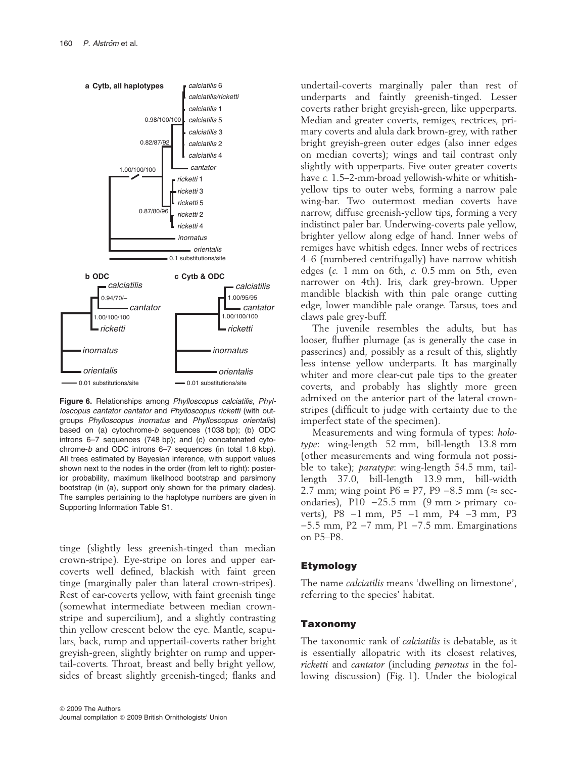

Figure 6. Relationships among Phylloscopus calciatilis, Phylloscopus cantator cantator and Phylloscopus ricketti (with outgroups Phylloscopus inornatus and Phylloscopus orientalis) based on (a) cytochrome-b sequences (1038 bp); (b) ODC introns 6–7 sequences (748 bp); and (c) concatenated cytochrome-b and ODC introns 6–7 sequences (in total 1.8 kbp). All trees estimated by Bayesian inference, with support values shown next to the nodes in the order (from left to right): posterior probability, maximum likelihood bootstrap and parsimony bootstrap (in (a), support only shown for the primary clades). The samples pertaining to the haplotype numbers are given in Supporting Information Table S1.

tinge (slightly less greenish-tinged than median crown-stripe). Eye-stripe on lores and upper earcoverts well defined, blackish with faint green tinge (marginally paler than lateral crown-stripes). Rest of ear-coverts yellow, with faint greenish tinge (somewhat intermediate between median crownstripe and supercilium), and a slightly contrasting thin yellow crescent below the eye. Mantle, scapulars, back, rump and uppertail-coverts rather bright greyish-green, slightly brighter on rump and uppertail-coverts. Throat, breast and belly bright yellow, sides of breast slightly greenish-tinged; flanks and

 $@$  2009 The Authors Journal compilation @ 2009 British Ornithologists' Union undertail-coverts marginally paler than rest of underparts and faintly greenish-tinged. Lesser coverts rather bright greyish-green, like upperparts. Median and greater coverts, remiges, rectrices, primary coverts and alula dark brown-grey, with rather bright greyish-green outer edges (also inner edges on median coverts); wings and tail contrast only slightly with upperparts. Five outer greater coverts have c. 1.5–2-mm-broad yellowish-white or whitishyellow tips to outer webs, forming a narrow pale wing-bar. Two outermost median coverts have narrow, diffuse greenish-yellow tips, forming a very indistinct paler bar. Underwing-coverts pale yellow, brighter yellow along edge of hand. Inner webs of remiges have whitish edges. Inner webs of rectrices 4–6 (numbered centrifugally) have narrow whitish edges (c. 1 mm on 6th, c. 0.5 mm on 5th, even narrower on 4th). Iris, dark grey-brown. Upper mandible blackish with thin pale orange cutting edge, lower mandible pale orange. Tarsus, toes and claws pale grey-buff.

The juvenile resembles the adults, but has looser, fluffier plumage (as is generally the case in passerines) and, possibly as a result of this, slightly less intense yellow underparts. It has marginally whiter and more clear-cut pale tips to the greater coverts, and probably has slightly more green admixed on the anterior part of the lateral crownstripes (difficult to judge with certainty due to the imperfect state of the specimen).

Measurements and wing formula of types: holotype: wing-length 52 mm, bill-length 13.8 mm (other measurements and wing formula not possible to take); paratype: wing-length 54.5 mm, taillength 37.0, bill-length 13.9 mm, bill-width 2.7 mm; wing point  $P6 = P7$ ,  $P9 - 8.5$  mm ( $\approx$  secondaries), P10  $-25.5$  mm (9 mm > primary coverts),  $P8 - 1$  mm,  $P5 - 1$  mm,  $P4 - 3$  mm,  $P3$  $-5.5$  mm, P2  $-7$  mm, P1  $-7.5$  mm. Emarginations on P5–P8.

# Etymology

The name calciatilis means 'dwelling on limestone', referring to the species' habitat.

### Taxonomy

The taxonomic rank of calciatilis is debatable, as it is essentially allopatric with its closest relatives, ricketti and cantator (including pernotus in the following discussion) (Fig. 1). Under the biological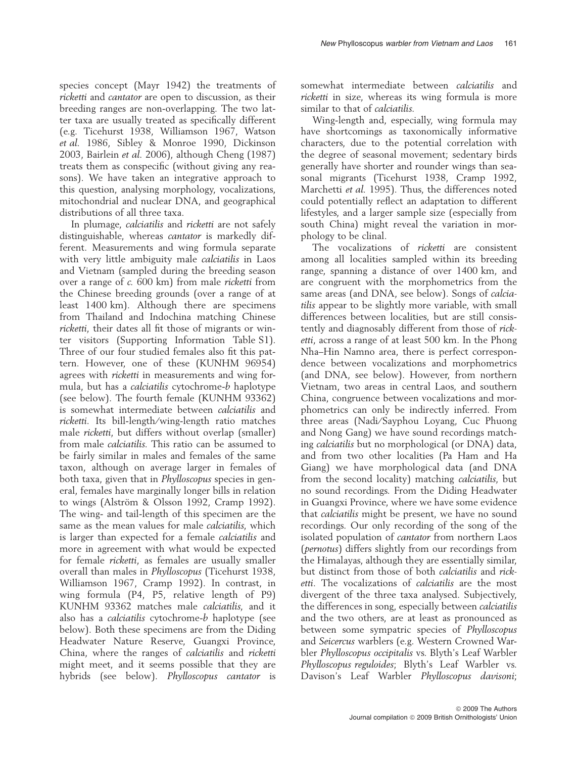species concept (Mayr 1942) the treatments of ricketti and cantator are open to discussion, as their breeding ranges are non-overlapping. The two latter taxa are usually treated as specifically different (e.g. Ticehurst 1938, Williamson 1967, Watson et al. 1986, Sibley & Monroe 1990, Dickinson 2003, Bairlein et al. 2006), although Cheng (1987) treats them as conspecific (without giving any reasons). We have taken an integrative approach to this question, analysing morphology, vocalizations, mitochondrial and nuclear DNA, and geographical distributions of all three taxa.

In plumage, *calciatilis* and *ricketti* are not safely distinguishable, whereas cantator is markedly different. Measurements and wing formula separate with very little ambiguity male calciatilis in Laos and Vietnam (sampled during the breeding season over a range of c. 600 km) from male ricketti from the Chinese breeding grounds (over a range of at least 1400 km). Although there are specimens from Thailand and Indochina matching Chinese ricketti, their dates all fit those of migrants or winter visitors (Supporting Information Table S1). Three of our four studied females also fit this pattern. However, one of these (KUNHM 96954) agrees with *ricketti* in measurements and wing formula, but has a calciatilis cytochrome-b haplotype (see below). The fourth female (KUNHM 93362) is somewhat intermediate between calciatilis and ricketti. Its bill-length⁄wing-length ratio matches male ricketti, but differs without overlap (smaller) from male calciatilis. This ratio can be assumed to be fairly similar in males and females of the same taxon, although on average larger in females of both taxa, given that in *Phylloscopus* species in general, females have marginally longer bills in relation to wings (Alström & Olsson 1992, Cramp 1992). The wing- and tail-length of this specimen are the same as the mean values for male calciatilis, which is larger than expected for a female calciatilis and more in agreement with what would be expected for female ricketti, as females are usually smaller overall than males in Phylloscopus (Ticehurst 1938, Williamson 1967, Cramp 1992). In contrast, in wing formula (P4, P5, relative length of P9) KUNHM 93362 matches male calciatilis, and it also has a calciatilis cytochrome-b haplotype (see below). Both these specimens are from the Diding Headwater Nature Reserve, Guangxi Province, China, where the ranges of calciatilis and ricketti might meet, and it seems possible that they are hybrids (see below). Phylloscopus cantator is somewhat intermediate between calciatilis and ricketti in size, whereas its wing formula is more similar to that of calciatilis.

Wing-length and, especially, wing formula may have shortcomings as taxonomically informative characters, due to the potential correlation with the degree of seasonal movement; sedentary birds generally have shorter and rounder wings than seasonal migrants (Ticehurst 1938, Cramp 1992, Marchetti et al. 1995). Thus, the differences noted could potentially reflect an adaptation to different lifestyles, and a larger sample size (especially from south China) might reveal the variation in morphology to be clinal.

The vocalizations of ricketti are consistent among all localities sampled within its breeding range, spanning a distance of over 1400 km, and are congruent with the morphometrics from the same areas (and DNA, see below). Songs of calciatilis appear to be slightly more variable, with small differences between localities, but are still consistently and diagnosably different from those of ricketti, across a range of at least 500 km. In the Phong Nha–Hin Namno area, there is perfect correspondence between vocalizations and morphometrics (and DNA, see below). However, from northern Vietnam, two areas in central Laos, and southern China, congruence between vocalizations and morphometrics can only be indirectly inferred. From three areas (Nadi/Sayphou Loyang, Cuc Phuong and Nong Gang) we have sound recordings matching calciatilis but no morphological (or DNA) data, and from two other localities (Pa Ham and Ha Giang) we have morphological data (and DNA from the second locality) matching calciatilis, but no sound recordings. From the Diding Headwater in Guangxi Province, where we have some evidence that calciatilis might be present, we have no sound recordings. Our only recording of the song of the isolated population of cantator from northern Laos (pernotus) differs slightly from our recordings from the Himalayas, although they are essentially similar, but distinct from those of both calciatilis and ricketti. The vocalizations of calciatilis are the most divergent of the three taxa analysed. Subjectively, the differences in song, especially between calciatilis and the two others, are at least as pronounced as between some sympatric species of Phylloscopus and Seicercus warblers (e.g. Western Crowned Warbler Phylloscopus occipitalis vs. Blyth's Leaf Warbler Phylloscopus reguloides; Blyth's Leaf Warbler vs. Davison's Leaf Warbler Phylloscopus davisoni;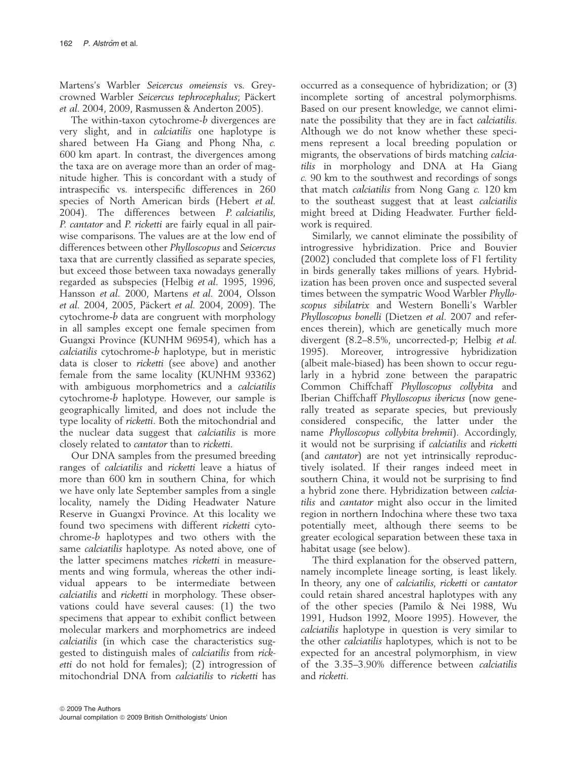Martens's Warbler Seicercus omeiensis vs. Greycrowned Warbler Seicercus tephrocephalus; Päckert et al. 2004, 2009, Rasmussen & Anderton 2005).

The within-taxon cytochrome-b divergences are very slight, and in calciatilis one haplotype is shared between Ha Giang and Phong Nha, c. 600 km apart. In contrast, the divergences among the taxa are on average more than an order of magnitude higher. This is concordant with a study of intraspecific vs. interspecific differences in 260 species of North American birds (Hebert et al. 2004). The differences between P. calciatilis, P. cantator and P. ricketti are fairly equal in all pairwise comparisons. The values are at the low end of differences between other Phylloscopus and Seicercus taxa that are currently classified as separate species, but exceed those between taxa nowadays generally regarded as subspecies (Helbig et al. 1995, 1996, Hansson et al. 2000, Martens et al. 2004, Olsson et al. 2004, 2005, Päckert et al. 2004, 2009). The cytochrome-b data are congruent with morphology in all samples except one female specimen from Guangxi Province (KUNHM 96954), which has a calciatilis cytochrome-b haplotype, but in meristic data is closer to ricketti (see above) and another female from the same locality (KUNHM 93362) with ambiguous morphometrics and a calciatilis cytochrome-b haplotype. However, our sample is geographically limited, and does not include the type locality of ricketti. Both the mitochondrial and the nuclear data suggest that *calciatilis* is more closely related to cantator than to ricketti.

Our DNA samples from the presumed breeding ranges of calciatilis and ricketti leave a hiatus of more than 600 km in southern China, for which we have only late September samples from a single locality, namely the Diding Headwater Nature Reserve in Guangxi Province. At this locality we found two specimens with different ricketti cytochrome-b haplotypes and two others with the same calciatilis haplotype. As noted above, one of the latter specimens matches *ricketti* in measurements and wing formula, whereas the other individual appears to be intermediate between calciatilis and ricketti in morphology. These observations could have several causes: (1) the two specimens that appear to exhibit conflict between molecular markers and morphometrics are indeed calciatilis (in which case the characteristics suggested to distinguish males of calciatilis from ricketti do not hold for females); (2) introgression of mitochondrial DNA from calciatilis to ricketti has occurred as a consequence of hybridization; or (3) incomplete sorting of ancestral polymorphisms. Based on our present knowledge, we cannot eliminate the possibility that they are in fact calciatilis. Although we do not know whether these specimens represent a local breeding population or migrants, the observations of birds matching calciatilis in morphology and DNA at Ha Giang c. 90 km to the southwest and recordings of songs that match calciatilis from Nong Gang c. 120 km to the southeast suggest that at least calciatilis might breed at Diding Headwater. Further fieldwork is required.

Similarly, we cannot eliminate the possibility of introgressive hybridization. Price and Bouvier (2002) concluded that complete loss of F1 fertility in birds generally takes millions of years. Hybridization has been proven once and suspected several times between the sympatric Wood Warbler Phylloscopus sibilatrix and Western Bonelli's Warbler Phylloscopus bonelli (Dietzen et al. 2007 and references therein), which are genetically much more divergent (8.2–8.5%, uncorrected-p; Helbig et al. 1995). Moreover, introgressive hybridization (albeit male-biased) has been shown to occur regularly in a hybrid zone between the parapatric Common Chiffchaff Phylloscopus collybita and Iberian Chiffchaff Phylloscopus ibericus (now generally treated as separate species, but previously considered conspecific, the latter under the name Phylloscopus collybita brehmii). Accordingly, it would not be surprising if calciatilis and ricketti (and cantator) are not yet intrinsically reproductively isolated. If their ranges indeed meet in southern China, it would not be surprising to find a hybrid zone there. Hybridization between calciatilis and cantator might also occur in the limited region in northern Indochina where these two taxa potentially meet, although there seems to be greater ecological separation between these taxa in habitat usage (see below).

The third explanation for the observed pattern, namely incomplete lineage sorting, is least likely. In theory, any one of calciatilis, ricketti or cantator could retain shared ancestral haplotypes with any of the other species (Pamilo & Nei 1988, Wu 1991, Hudson 1992, Moore 1995). However, the calciatilis haplotype in question is very similar to the other calciatilis haplotypes, which is not to be expected for an ancestral polymorphism, in view of the 3.35–3.90% difference between calciatilis and ricketti.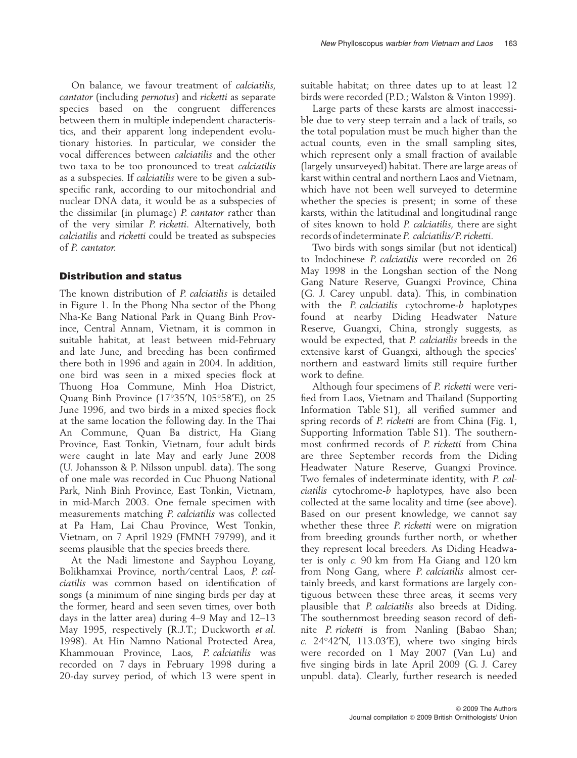On balance, we favour treatment of calciatilis, cantator (including pernotus) and ricketti as separate species based on the congruent differences between them in multiple independent characteristics, and their apparent long independent evolutionary histories. In particular, we consider the vocal differences between calciatilis and the other two taxa to be too pronounced to treat calciatilis as a subspecies. If calciatilis were to be given a subspecific rank, according to our mitochondrial and nuclear DNA data, it would be as a subspecies of the dissimilar (in plumage) P. cantator rather than of the very similar P. ricketti. Alternatively, both calciatilis and ricketti could be treated as subspecies of P. cantator.

### Distribution and status

The known distribution of P. calciatilis is detailed in Figure 1. In the Phong Nha sector of the Phong Nha-Ke Bang National Park in Quang Binh Province, Central Annam, Vietnam, it is common in suitable habitat, at least between mid-February and late June, and breeding has been confirmed there both in 1996 and again in 2004. In addition, one bird was seen in a mixed species flock at Thuong Hoa Commune, Minh Hoa District, Quang Binh Province (17°35'N, 105°58'E), on 25 June 1996, and two birds in a mixed species flock at the same location the following day. In the Thai An Commune, Quan Ba district, Ha Giang Province, East Tonkin, Vietnam, four adult birds were caught in late May and early June 2008 (U. Johansson & P. Nilsson unpubl. data). The song of one male was recorded in Cuc Phuong National Park, Ninh Binh Province, East Tonkin, Vietnam, in mid-March 2003. One female specimen with measurements matching P. calciatilis was collected at Pa Ham, Lai Chau Province, West Tonkin, Vietnam, on 7 April 1929 (FMNH 79799), and it seems plausible that the species breeds there.

At the Nadi limestone and Sayphou Loyang, Bolikhamxai Province, north/central Laos, P. calciatilis was common based on identification of songs (a minimum of nine singing birds per day at the former, heard and seen seven times, over both days in the latter area) during 4–9 May and 12–13 May 1995, respectively (R.J.T.; Duckworth et al. 1998). At Hin Namno National Protected Area, Khammouan Province, Laos, P. calciatilis was recorded on 7 days in February 1998 during a 20-day survey period, of which 13 were spent in suitable habitat; on three dates up to at least 12 birds were recorded (P.D.; Walston & Vinton 1999).

Large parts of these karsts are almost inaccessible due to very steep terrain and a lack of trails, so the total population must be much higher than the actual counts, even in the small sampling sites, which represent only a small fraction of available (largely unsurveyed) habitat. There are large areas of karst within central and northern Laos and Vietnam, which have not been well surveyed to determine whether the species is present; in some of these karsts, within the latitudinal and longitudinal range of sites known to hold P. calciatilis, there are sight records of indeterminate P. calciatilis⁄P. ricketti.

Two birds with songs similar (but not identical) to Indochinese P. calciatilis were recorded on 26 May 1998 in the Longshan section of the Nong Gang Nature Reserve, Guangxi Province, China (G. J. Carey unpubl. data). This, in combination with the *P. calciatilis* cytochrome-b haplotypes found at nearby Diding Headwater Nature Reserve, Guangxi, China, strongly suggests, as would be expected, that P. calciatilis breeds in the extensive karst of Guangxi, although the species' northern and eastward limits still require further work to define.

Although four specimens of P. ricketti were verified from Laos, Vietnam and Thailand (Supporting Information Table S1), all verified summer and spring records of *P. ricketti* are from China (Fig. 1, Supporting Information Table S1). The southernmost confirmed records of P. ricketti from China are three September records from the Diding Headwater Nature Reserve, Guangxi Province. Two females of indeterminate identity, with P. calciatilis cytochrome-b haplotypes, have also been collected at the same locality and time (see above). Based on our present knowledge, we cannot say whether these three *P. ricketti* were on migration from breeding grounds further north, or whether they represent local breeders. As Diding Headwater is only c. 90 km from Ha Giang and 120 km from Nong Gang, where P. calciatilis almost certainly breeds, and karst formations are largely contiguous between these three areas, it seems very plausible that P. calciatilis also breeds at Diding. The southernmost breeding season record of definite P. ricketti is from Nanling (Babao Shan; c. 24°42'N, 113.03'E), where two singing birds were recorded on 1 May 2007 (Van Lu) and five singing birds in late April 2009 (G. J. Carey unpubl. data). Clearly, further research is needed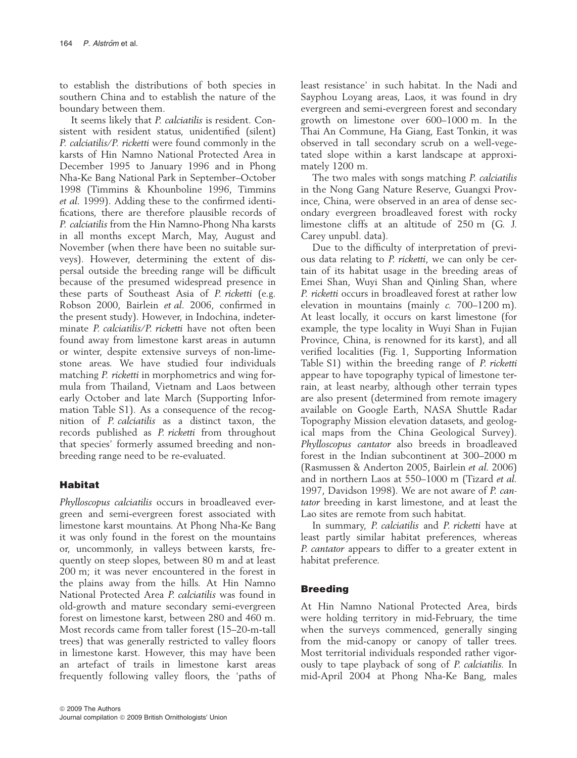to establish the distributions of both species in southern China and to establish the nature of the boundary between them.

It seems likely that P. calciatilis is resident. Consistent with resident status, unidentified (silent) P. calciatilis⁄P. ricketti were found commonly in the karsts of Hin Namno National Protected Area in December 1995 to January 1996 and in Phong Nha-Ke Bang National Park in September–October 1998 (Timmins & Khounboline 1996, Timmins et al. 1999). Adding these to the confirmed identifications, there are therefore plausible records of P. calciatilis from the Hin Namno-Phong Nha karsts in all months except March, May, August and November (when there have been no suitable surveys). However, determining the extent of dispersal outside the breeding range will be difficult because of the presumed widespread presence in these parts of Southeast Asia of P. ricketti (e.g. Robson 2000, Bairlein et al. 2006, confirmed in the present study). However, in Indochina, indeterminate P. calciatilis/P. ricketti have not often been found away from limestone karst areas in autumn or winter, despite extensive surveys of non-limestone areas. We have studied four individuals matching P. ricketti in morphometrics and wing formula from Thailand, Vietnam and Laos between early October and late March (Supporting Information Table S1). As a consequence of the recognition of P. calciatilis as a distinct taxon, the records published as *P. ricketti* from throughout that species' formerly assumed breeding and nonbreeding range need to be re-evaluated.

# Habitat

Phylloscopus calciatilis occurs in broadleaved evergreen and semi-evergreen forest associated with limestone karst mountains. At Phong Nha-Ke Bang it was only found in the forest on the mountains or, uncommonly, in valleys between karsts, frequently on steep slopes, between 80 m and at least 200 m; it was never encountered in the forest in the plains away from the hills. At Hin Namno National Protected Area P. calciatilis was found in old-growth and mature secondary semi-evergreen forest on limestone karst, between 280 and 460 m. Most records came from taller forest (15–20-m-tall trees) that was generally restricted to valley floors in limestone karst. However, this may have been an artefact of trails in limestone karst areas frequently following valley floors, the 'paths of least resistance' in such habitat. In the Nadi and Sayphou Loyang areas, Laos, it was found in dry evergreen and semi-evergreen forest and secondary growth on limestone over 600–1000 m. In the Thai An Commune, Ha Giang, East Tonkin, it was observed in tall secondary scrub on a well-vegetated slope within a karst landscape at approximately 1200 m.

The two males with songs matching P. calciatilis in the Nong Gang Nature Reserve, Guangxi Province, China, were observed in an area of dense secondary evergreen broadleaved forest with rocky limestone cliffs at an altitude of 250 m (G. J. Carey unpubl. data).

Due to the difficulty of interpretation of previous data relating to P. ricketti, we can only be certain of its habitat usage in the breeding areas of Emei Shan, Wuyi Shan and Qinling Shan, where P. ricketti occurs in broadleaved forest at rather low elevation in mountains (mainly c. 700–1200 m). At least locally, it occurs on karst limestone (for example, the type locality in Wuyi Shan in Fujian Province, China, is renowned for its karst), and all verified localities (Fig. 1, Supporting Information Table S1) within the breeding range of P. ricketti appear to have topography typical of limestone terrain, at least nearby, although other terrain types are also present (determined from remote imagery available on Google Earth, NASA Shuttle Radar Topography Mission elevation datasets, and geological maps from the China Geological Survey). Phylloscopus cantator also breeds in broadleaved forest in the Indian subcontinent at 300–2000 m (Rasmussen & Anderton 2005, Bairlein et al. 2006) and in northern Laos at 550–1000 m (Tizard et al. 1997, Davidson 1998). We are not aware of P. cantator breeding in karst limestone, and at least the Lao sites are remote from such habitat.

In summary, P. calciatilis and P. ricketti have at least partly similar habitat preferences, whereas P. cantator appears to differ to a greater extent in habitat preference.

# **Breeding**

At Hin Namno National Protected Area, birds were holding territory in mid-February, the time when the surveys commenced, generally singing from the mid-canopy or canopy of taller trees. Most territorial individuals responded rather vigorously to tape playback of song of P. calciatilis. In mid-April 2004 at Phong Nha-Ke Bang, males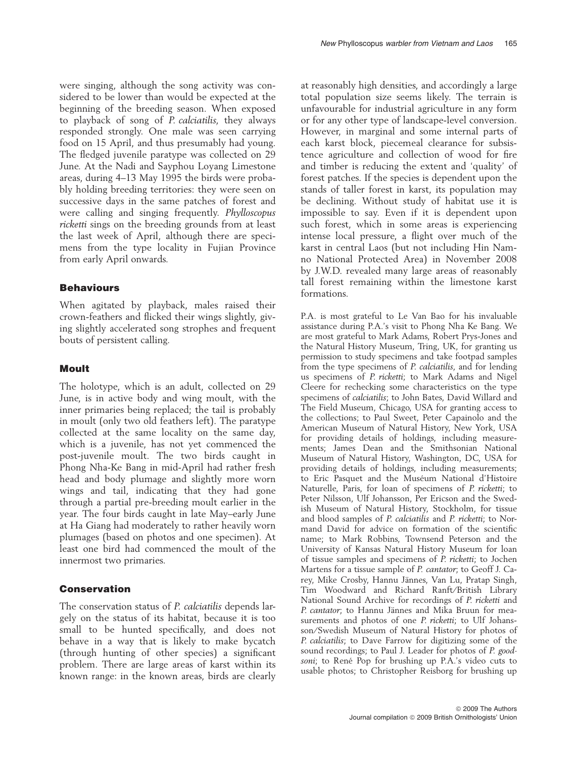were singing, although the song activity was considered to be lower than would be expected at the beginning of the breeding season. When exposed to playback of song of P. calciatilis, they always responded strongly. One male was seen carrying food on 15 April, and thus presumably had young. The fledged juvenile paratype was collected on 29 June. At the Nadi and Sayphou Loyang Limestone areas, during 4–13 May 1995 the birds were probably holding breeding territories: they were seen on successive days in the same patches of forest and were calling and singing frequently. Phylloscopus ricketti sings on the breeding grounds from at least the last week of April, although there are specimens from the type locality in Fujian Province from early April onwards.

# **Behaviours**

When agitated by playback, males raised their crown-feathers and flicked their wings slightly, giving slightly accelerated song strophes and frequent bouts of persistent calling.

# Moult

The holotype, which is an adult, collected on 29 June, is in active body and wing moult, with the inner primaries being replaced; the tail is probably in moult (only two old feathers left). The paratype collected at the same locality on the same day, which is a juvenile, has not yet commenced the post-juvenile moult. The two birds caught in Phong Nha-Ke Bang in mid-April had rather fresh head and body plumage and slightly more worn wings and tail, indicating that they had gone through a partial pre-breeding moult earlier in the year. The four birds caught in late May–early June at Ha Giang had moderately to rather heavily worn plumages (based on photos and one specimen). At least one bird had commenced the moult of the innermost two primaries.

# Conservation

The conservation status of P. calciatilis depends largely on the status of its habitat, because it is too small to be hunted specifically, and does not behave in a way that is likely to make bycatch (through hunting of other species) a significant problem. There are large areas of karst within its known range: in the known areas, birds are clearly at reasonably high densities, and accordingly a large total population size seems likely. The terrain is unfavourable for industrial agriculture in any form or for any other type of landscape-level conversion. However, in marginal and some internal parts of each karst block, piecemeal clearance for subsistence agriculture and collection of wood for fire and timber is reducing the extent and 'quality' of forest patches. If the species is dependent upon the stands of taller forest in karst, its population may be declining. Without study of habitat use it is impossible to say. Even if it is dependent upon such forest, which in some areas is experiencing intense local pressure, a flight over much of the karst in central Laos (but not including Hin Namno National Protected Area) in November 2008 by J.W.D. revealed many large areas of reasonably tall forest remaining within the limestone karst formations.

P.A. is most grateful to Le Van Bao for his invaluable assistance during P.A.'s visit to Phong Nha Ke Bang. We are most grateful to Mark Adams, Robert Prys-Jones and the Natural History Museum, Tring, UK, for granting us permission to study specimens and take footpad samples from the type specimens of P. calciatilis, and for lending us specimens of P. ricketti; to Mark Adams and Nigel Cleere for rechecking some characteristics on the type specimens of calciatilis; to John Bates, David Willard and The Field Museum, Chicago, USA for granting access to the collections; to Paul Sweet, Peter Capainolo and the American Museum of Natural History, New York, USA for providing details of holdings, including measurements; James Dean and the Smithsonian National Museum of Natural History, Washington, DC, USA for providing details of holdings, including measurements; to Eric Pasquet and the Muséum National d'Histoire Naturelle, Paris, for loan of specimens of P. ricketti; to Peter Nilsson, Ulf Johansson, Per Ericson and the Swedish Museum of Natural History, Stockholm, for tissue and blood samples of P. calciatilis and P. ricketti; to Normand David for advice on formation of the scientific name; to Mark Robbins, Townsend Peterson and the University of Kansas Natural History Museum for loan of tissue samples and specimens of P. ricketti; to Jochen Martens for a tissue sample of P. cantator; to Geoff J. Carey, Mike Crosby, Hannu Jännes, Van Lu, Pratap Singh, Tim Woodward and Richard Ranft⁄ British Library National Sound Archive for recordings of P. ricketti and P. cantator; to Hannu Jännes and Mika Bruun for measurements and photos of one P. ricketti; to Ulf Johansson/Swedish Museum of Natural History for photos of P. calciatilis; to Dave Farrow for digitizing some of the sound recordings; to Paul J. Leader for photos of P. goodsoni; to René Pop for brushing up P.A.'s video cuts to usable photos; to Christopher Reisborg for brushing up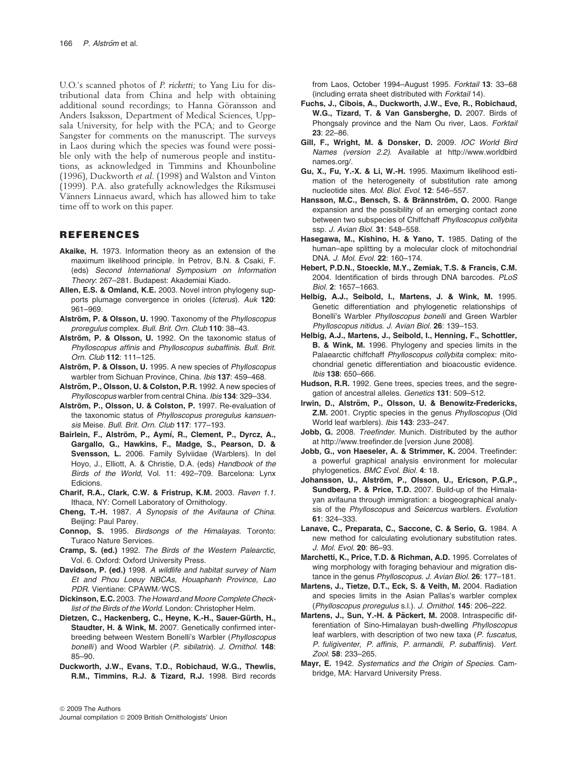U.O.'s scanned photos of P. ricketti; to Yang Liu for distributional data from China and help with obtaining additional sound recordings; to Hanna Göransson and Anders Isaksson, Department of Medical Sciences, Uppsala University, for help with the PCA; and to George Sangster for comments on the manuscript. The surveys in Laos during which the species was found were possible only with the help of numerous people and institutions, as acknowledged in Timmins and Khounboline (1996), Duckworth et al. (1998) and Walston and Vinton (1999). P.A. also gratefully acknowledges the Riksmusei Vänners Linnaeus award, which has allowed him to take time off to work on this paper.

### REFERENCES

- Akaike, H. 1973. Information theory as an extension of the maximum likelihood principle. In Petrov, B.N. & Csaki, F. (eds) Second International Symposium on Information Theory: 267–281. Budapest: Akademiai Kiado.
- Allen, E.S. & Omland, K.E. 2003. Novel intron phylogeny supports plumage convergence in orioles (Icterus). Auk 120: 961–969.
- Alström, P. & Olsson, U. 1990. Taxonomy of the Phylloscopus proregulus complex. Bull. Brit. Orn. Club 110: 38–43.
- Alström, P. & Olsson, U. 1992. On the taxonomic status of Phylloscopus affinis and Phylloscopus subaffinis. Bull. Brit. Orn. Club 112: 111–125.
- Alström, P. & Olsson, U. 1995. A new species of Phylloscopus warbler from Sichuan Province, China. Ibis 137: 459-468.
- Alström, P., Olsson, U. & Colston, P.R. 1992. A new species of Phylloscopus warbler from central China. Ibis 134: 329–334.
- Alström, P., Olsson, U. & Colston, P. 1997. Re-evaluation of the taxonomic status of Phylloscopus proregulus kansuensis Meise. Bull. Brit. Orn. Club 117: 177–193.
- Bairlein, F., Alström, P., Aymí, R., Clement, P., Dyrcz, A., Gargallo, G., Hawkins, F., Madge, S., Pearson, D. & Svensson, L. 2006. Family Sylviidae (Warblers). In del Hoyo, J., Elliott, A. & Christie, D.A. (eds) Handbook of the Birds of the World, Vol. 11: 492–709. Barcelona: Lynx Edicions.
- Charif, R.A., Clark, C.W. & Fristrup, K.M. 2003. Raven 1.1. Ithaca, NY: Cornell Laboratory of Ornithology.
- Cheng, T.-H. 1987. A Synopsis of the Avifauna of China. Beijing: Paul Parey.
- Connop, S. 1995. Birdsongs of the Himalayas. Toronto: Turaco Nature Services.
- Cramp, S. (ed.) 1992. The Birds of the Western Palearctic, Vol. 6. Oxford: Oxford University Press.
- Davidson, P. (ed.) 1998. A wildlife and habitat survey of Nam Et and Phou Loeuy NBCAs, Houaphanh Province, Lao PDR. Vientiane: CPAWM/WCS.
- Dickinson, E.C. 2003. The Howard and Moore Complete Checklist of the Birds of the World. London: Christopher Helm.
- Dietzen, C., Hackenberg, C., Heyne, K.-H., Sauer-Gürth, H., Staudter, H. & Wink, M. 2007. Genetically confirmed interbreeding between Western Bonelli's Warbler (Phylloscopus bonelli) and Wood Warbler (P. sibilatrix). J. Ornithol. 148: 85–90.
- Duckworth, J.W., Evans, T.D., Robichaud, W.G., Thewlis, R.M., Timmins, R.J. & Tizard, R.J. 1998. Bird records

from Laos, October 1994–August 1995. Forktail 13: 33–68 (including errata sheet distributed with Forktail 14).

- Fuchs, J., Cibois, A., Duckworth, J.W., Eve, R., Robichaud, W.G., Tizard, T. & Van Gansberghe, D. 2007. Birds of Phongsaly province and the Nam Ou river, Laos. Forktail 23: 22–86.
- Gill, F., Wright, M. & Donsker, D. 2009. IOC World Bird Names (version 2.2). Available at http://www.worldbird names.org/.
- Gu, X., Fu, Y.-X. & Li, W.-H. 1995. Maximum likelihood estimation of the heterogeneity of substitution rate among nucleotide sites. Mol. Biol. Evol. 12: 546–557.
- Hansson, M.C., Bensch, S. & Brännström, O. 2000. Range expansion and the possibility of an emerging contact zone between two subspecies of Chiffchaff Phylloscopus collybita ssp. J. Avian Biol. 31: 548–558.
- Hasegawa, M., Kishino, H. & Yano, T. 1985. Dating of the human–ape splitting by a molecular clock of mitochondrial DNA. J. Mol. Evol. 22: 160–174.
- Hebert, P.D.N., Stoeckle, M.Y., Zemiak, T.S. & Francis, C.M. 2004. Identification of birds through DNA barcodes. PLoS Biol. 2: 1657–1663.
- Helbig, A.J., Seibold, I., Martens, J. & Wink, M. 1995. Genetic differentiation and phylogenetic relationships of Bonelli's Warbler Phylloscopus bonelli and Green Warbler Phylloscopus nitidus. J. Avian Biol. 26: 139–153.
- Helbig, A.J., Martens, J., Seibold, I., Henning, F., Schottler, B. & Wink, M. 1996. Phylogeny and species limits in the Palaearctic chiffchaff Phylloscopus collybita complex: mitochondrial genetic differentiation and bioacoustic evidence. Ibis 138: 650–666.
- Hudson, R.R. 1992. Gene trees, species trees, and the segregation of ancestral alleles. Genetics 131: 509-512.
- Irwin, D., Alström, P., Olsson, U. & Benowitz-Fredericks, Z.M. 2001. Cryptic species in the genus Phylloscopus (Old World leaf warblers). Ibis 143: 233–247.
- Jobb, G. 2008. Treefinder. Munich. Distributed by the author at http://www.treefinder.de [version June 2008].
- Jobb, G., von Haeseler, A. & Strimmer, K. 2004. Treefinder: a powerful graphical analysis environment for molecular phylogenetics. BMC Evol. Biol. 4: 18.
- Johansson, U., Alström, P., Olsson, U., Ericson, P.G.P., Sundberg, P. & Price, T.D. 2007. Build-up of the Himalayan avifauna through immigration: a biogeographical analysis of the Phylloscopus and Seicercus warblers. Evolution 61: 324–333.
- Lanave, C., Preparata, C., Saccone, C. & Serio, G. 1984. A new method for calculating evolutionary substitution rates. J. Mol. Evol. 20: 86–93.
- Marchetti, K., Price, T.D. & Richman, A.D. 1995. Correlates of wing morphology with foraging behaviour and migration distance in the genus Phylloscopus. J. Avian Biol. 26: 177–181.
- Martens, J., Tietze, D.T., Eck, S. & Veith, M. 2004. Radiation and species limits in the Asian Pallas's warbler complex (Phylloscopus proregulus s.l.). J. Ornithol. 145: 206–222.
- Martens, J., Sun, Y.-H. & Päckert, M. 2008. Intraspecific differentiation of Sino-Himalayan bush-dwelling Phylloscopus leaf warblers, with description of two new taxa (P. fuscatus, P. fuligiventer, P. affinis, P. armandii, P. subaffinis). Vert. Zool. 58: 233–265.
- Mayr, E. 1942. Systematics and the Origin of Species. Cambridge, MA: Harvard University Press.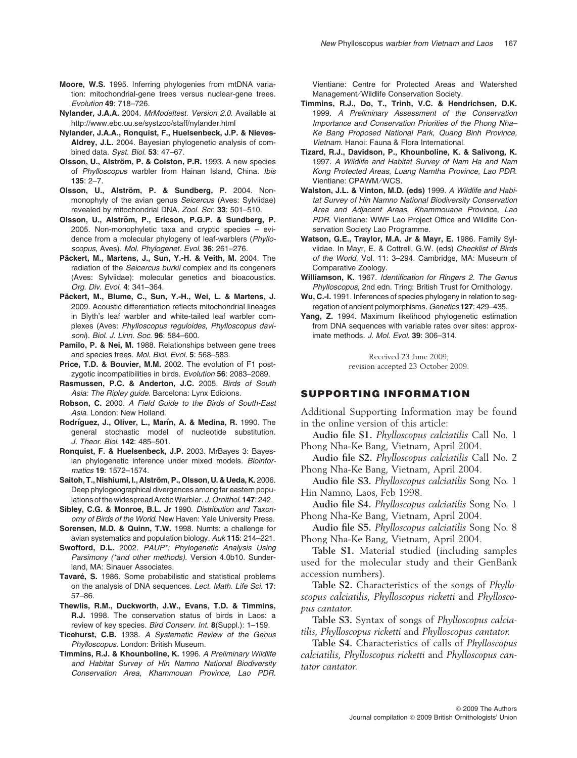- Moore, W.S. 1995. Inferring phylogenies from mtDNA variation: mitochondrial-gene trees versus nuclear-gene trees. Evolution 49: 718–726.
- Nylander, J.A.A. 2004. MrModeltest. Version 2.0. Available at http://www.ebc.uu.se/systzoo/staff/nylander.html
- Nylander, J.A.A., Ronquist, F., Huelsenbeck, J.P. & Nieves-Aldrey, J.L. 2004. Bayesian phylogenetic analysis of combined data. Syst. Biol. 53: 47-67.
- Olsson, U., Alström, P. & Colston, P.R. 1993. A new species of Phylloscopus warbler from Hainan Island, China. Ibis 135: 2–7.
- Olsson, U., Alström, P. & Sundberg, P. 2004. Nonmonophyly of the avian genus Seicercus (Aves: Sylviidae) revealed by mitochondrial DNA. Zool. Scr. 33: 501-510.
- Olsson, U., Alström, P., Ericson, P.G.P. & Sundberg, P. 2005. Non-monophyletic taxa and cryptic species – evidence from a molecular phylogeny of leaf-warblers (Phylloscopus, Aves). Mol. Phylogenet. Evol. 36: 261–276.
- Päckert, M., Martens, J., Sun, Y.-H. & Veith, M. 2004. The radiation of the Seicercus burkii complex and its congeners (Aves: Sylviidae): molecular genetics and bioacoustics. Org. Div. Evol. 4: 341–364.
- Päckert, M., Blume, C., Sun, Y.-H., Wei, L. & Martens, J. 2009. Acoustic differentiation reflects mitochondrial lineages in Blyth's leaf warbler and white-tailed leaf warbler complexes (Aves: Phylloscopus reguloides, Phylloscopus davisoni). Biol. J. Linn. Soc. 96: 584–600.
- Pamilo, P. & Nei, M. 1988. Relationships between gene trees and species trees. Mol. Biol. Evol. 5: 568–583.
- Price, T.D. & Bouvier, M.M. 2002. The evolution of F1 postzygotic incompatibilities in birds. Evolution 56: 2083–2089.
- Rasmussen, P.C. & Anderton, J.C. 2005. Birds of South Asia: The Ripley guide. Barcelona: Lynx Edicions.
- Robson, C. 2000. A Field Guide to the Birds of South-East Asia. London: New Holland.
- Rodríguez, J., Oliver, L., Marín, A. & Medina, R. 1990. The general stochastic model of nucleotide substitution. J. Theor. Biol. 142: 485–501.
- Ronquist, F. & Huelsenbeck, J.P. 2003. MrBayes 3: Bayesian phylogenetic inference under mixed models. Bioinformatics 19: 1572–1574.
- Saitoh, T., Nishiumi, I., Alström, P., Olsson, U. & Ueda, K. 2006. Deep phylogeographical divergences among far eastern populations of the widespread Arctic Warbler. J. Ornithol. 147: 242.
- Sibley, C.G. & Monroe, B.L. Jr 1990. Distribution and Taxonomy of Birds of the World. New Haven: Yale University Press.
- Sorensen, M.D. & Quinn, T.W. 1998. Numts: a challenge for avian systematics and population biology. Auk 115: 214–221.
- Swofford, D.L. 2002. PAUP\*: Phylogenetic Analysis Using Parsimony (\*and other methods). Version 4.0b10. Sunderland, MA: Sinauer Associates.
- Tavaré, S. 1986. Some probabilistic and statistical problems on the analysis of DNA sequences. Lect. Math. Life Sci. 17: 57–86.
- Thewlis, R.M., Duckworth, J.W., Evans, T.D. & Timmins, R.J. 1998. The conservation status of birds in Laos: a review of key species. Bird Conserv. Int. 8(Suppl.): 1–159.
- Ticehurst, C.B. 1938. A Systematic Review of the Genus Phylloscopus. London: British Museum.
- Timmins, R.J. & Khounboline, K. 1996. A Preliminary Wildlife and Habitat Survey of Hin Namno National Biodiversity Conservation Area, Khammouan Province, Lao PDR.

Vientiane: Centre for Protected Areas and Watershed Management ⁄ Wildlife Conservation Society.

- Timmins, R.J., Do, T., Trinh, V.C. & Hendrichsen, D.K. 1999. A Preliminary Assessment of the Conservation Importance and Conservation Priorities of the Phong Nha– Ke Bang Proposed National Park, Quang Binh Province, Vietnam. Hanoi: Fauna & Flora International.
- Tizard, R.J., Davidson, P., Khounboline, K. & Salivong, K. 1997. A Wildlife and Habitat Survey of Nam Ha and Nam Kong Protected Areas, Luang Namtha Province, Lao PDR. Vientiane: CPAWM/WCS.
- Walston, J.L. & Vinton, M.D. (eds) 1999. A Wildlife and Habitat Survey of Hin Namno National Biodiversity Conservation Area and Adjacent Areas, Khammouane Province, Lao PDR. Vientiane: WWF Lao Project Office and Wildlife Conservation Society Lao Programme.
- Watson, G.E., Traylor, M.A. Jr & Mayr, E. 1986. Family Sylviidae. In Mayr, E. & Cottrell, G.W. (eds) Checklist of Birds of the World, Vol. 11: 3–294. Cambridge, MA: Museum of Comparative Zoology.
- Williamson, K. 1967. Identification for Ringers 2. The Genus Phylloscopus, 2nd edn. Tring: British Trust for Ornithology.
- Wu, C.-I. 1991. Inferences of species phylogeny in relation to segregation of ancient polymorphisms. Genetics 127: 429–435.
- Yang, Z. 1994. Maximum likelihood phylogenetic estimation from DNA sequences with variable rates over sites: approximate methods. J. Mol. Evol. 39: 306-314.

Received 23 June 2009; revision accepted 23 October 2009.

#### SUPPORTING INFORMATION

Additional Supporting Information may be found in the online version of this article:

- Audio file S1. Phylloscopus calciatilis Call No. 1 Phong Nha-Ke Bang, Vietnam, April 2004.
- Audio file S2. Phylloscopus calciatilis Call No. 2 Phong Nha-Ke Bang, Vietnam, April 2004.

Audio file S3. Phylloscopus calciatilis Song No. 1 Hin Namno, Laos, Feb 1998.

Audio file S4. Phylloscopus calciatilis Song No. 1 Phong Nha-Ke Bang, Vietnam, April 2004.

Audio file S5. Phylloscopus calciatilis Song No. 8 Phong Nha-Ke Bang, Vietnam, April 2004.

Table S1. Material studied (including samples used for the molecular study and their GenBank accession numbers).

Table S2. Characteristics of the songs of *Phyllo*scopus calciatilis, Phylloscopus ricketti and Phylloscopus cantator.

Table S3. Syntax of songs of Phylloscopus calciatilis, Phylloscopus ricketti and Phylloscopus cantator.

Table S4. Characteristics of calls of *Phylloscopus* calciatilis, Phylloscopus ricketti and Phylloscopus cantator cantator.